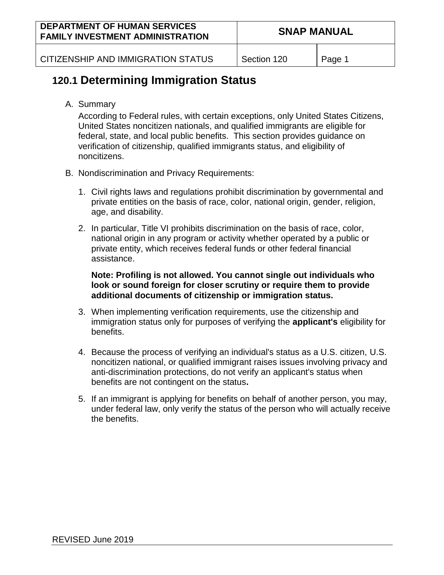CITIZENSHIP AND IMMIGRATION STATUS | Section 120 | Page 1

# **120.1 Determining Immigration Status**

A. Summary

According to Federal rules, with certain exceptions, only United States Citizens, United States noncitizen nationals, and qualified immigrants are eligible for federal, state, and local public benefits. This section provides guidance on verification of citizenship, qualified immigrants status, and eligibility of noncitizens.

- B. Nondiscrimination and Privacy Requirements:
	- 1. Civil rights laws and regulations prohibit discrimination by governmental and private entities on the basis of race, color, national origin, gender, religion, age, and disability.
	- 2. In particular, Title VI prohibits discrimination on the basis of race, color, national origin in any program or activity whether operated by a public or private entity, which receives federal funds or other federal financial assistance.

**Note: Profiling is not allowed. You cannot single out individuals who look or sound foreign for closer scrutiny or require them to provide additional documents of citizenship or immigration status.**

- 3. When implementing verification requirements, use the citizenship and immigration status only for purposes of verifying the **applicant's** eligibility for benefits.
- 4. Because the process of verifying an individual's status as a U.S. citizen, U.S. noncitizen national, or qualified immigrant raises issues involving privacy and anti-discrimination protections, do not verify an applicant's status when benefits are not contingent on the status**.**
- 5. If an immigrant is applying for benefits on behalf of another person, you may, under federal law, only verify the status of the person who will actually receive the benefits.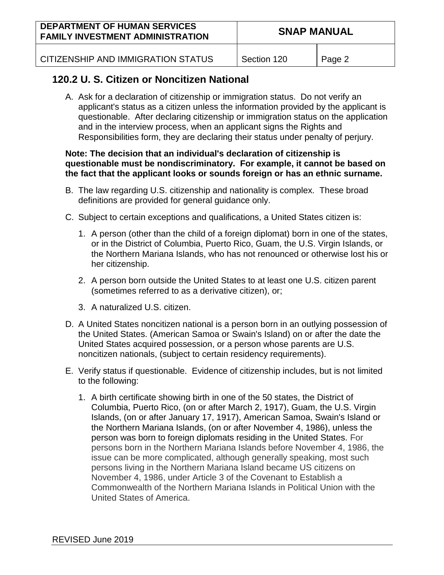| <b>DEPARTMENT OF HUMAN SERVICES</b><br><b>FAMILY INVESTMENT ADMINISTRATION</b> | <b>SNAP MANUAL</b> |  |
|--------------------------------------------------------------------------------|--------------------|--|
|                                                                                |                    |  |

CITIZENSHIP AND IMMIGRATION STATUS | Section 120 | Page 2

## **120.2 U. S. Citizen or Noncitizen National**

A. Ask for a declaration of citizenship or immigration status. Do not verify an applicant's status as a citizen unless the information provided by the applicant is questionable. After declaring citizenship or immigration status on the application and in the interview process, when an applicant signs the Rights and Responsibilities form, they are declaring their status under penalty of perjury.

#### **Note: The decision that an individual's declaration of citizenship is questionable must be nondiscriminatory. For example, it cannot be based on the fact that the applicant looks or sounds foreign or has an ethnic surname.**

- B. The law regarding U.S. citizenship and nationality is complex. These broad definitions are provided for general guidance only.
- C. Subject to certain exceptions and qualifications, a United States citizen is:
	- 1. A person (other than the child of a foreign diplomat) born in one of the states, or in the District of Columbia, Puerto Rico, Guam, the U.S. Virgin Islands, or the Northern Mariana Islands, who has not renounced or otherwise lost his or her citizenship.
	- 2. A person born outside the United States to at least one U.S. citizen parent (sometimes referred to as a derivative citizen), or;
	- 3. A naturalized U.S. citizen.
- D. A United States noncitizen national is a person born in an outlying possession of the United States. (American Samoa or Swain's Island) on or after the date the United States acquired possession, or a person whose parents are U.S. noncitizen nationals, (subject to certain residency requirements).
- E. Verify status if questionable. Evidence of citizenship includes, but is not limited to the following:
	- 1. A birth certificate showing birth in one of the 50 states, the District of Columbia, Puerto Rico, (on or after March 2, 1917), Guam, the U.S. Virgin Islands, (on or after January 17, 1917), American Samoa, Swain's Island or the Northern Mariana Islands, (on or after November 4, 1986), unless the person was born to foreign diplomats residing in the United States. For persons born in the Northern Mariana Islands before November 4, 1986, the issue can be more complicated, although generally speaking, most such persons living in the Northern Mariana Island became US citizens on November 4, 1986, under Article 3 of the Covenant to Establish a Commonwealth of the Northern Mariana Islands in Political Union with the United States of America.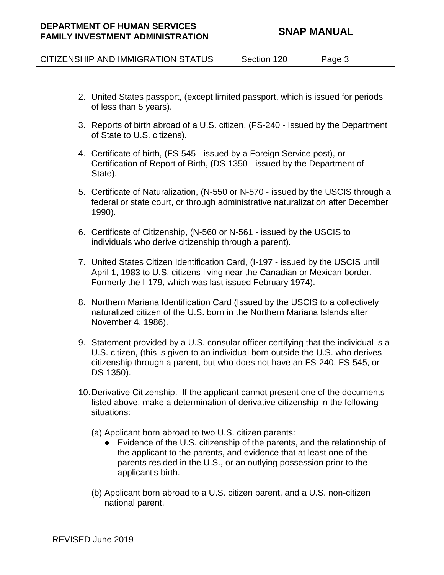| <b>DEPARTMENT OF HUMAN SERVICES</b><br><b>FAMILY INVESTMENT ADMINISTRATION</b> | <b>SNAP MANUAL</b> |        |
|--------------------------------------------------------------------------------|--------------------|--------|
| CITIZENSHIP AND IMMIGRATION STATUS                                             | Section 120        | Page 3 |

- 2. United States passport, (except limited passport, which is issued for periods of less than 5 years).
- 3. Reports of birth abroad of a U.S. citizen, (FS-240 Issued by the Department of State to U.S. citizens).
- 4. Certificate of birth, (FS-545 issued by a Foreign Service post), or Certification of Report of Birth, (DS-1350 - issued by the Department of State).
- 5. Certificate of Naturalization, (N-550 or N-570 issued by the USCIS through a federal or state court, or through administrative naturalization after December 1990).
- 6. Certificate of Citizenship, (N-560 or N-561 issued by the USCIS to individuals who derive citizenship through a parent).
- 7. United States Citizen Identification Card, (I-197 issued by the USCIS until April 1, 1983 to U.S. citizens living near the Canadian or Mexican border. Formerly the I-179, which was last issued February 1974).
- 8. Northern Mariana Identification Card (Issued by the USCIS to a collectively naturalized citizen of the U.S. born in the Northern Mariana Islands after November 4, 1986).
- 9. Statement provided by a U.S. consular officer certifying that the individual is a U.S. citizen, (this is given to an individual born outside the U.S. who derives citizenship through a parent, but who does not have an FS-240, FS-545, or DS-1350).
- 10.Derivative Citizenship. If the applicant cannot present one of the documents listed above, make a determination of derivative citizenship in the following situations:
	- (a) Applicant born abroad to two U.S. citizen parents:
		- Evidence of the U.S. citizenship of the parents, and the relationship of the applicant to the parents, and evidence that at least one of the parents resided in the U.S., or an outlying possession prior to the applicant's birth.
	- (b) Applicant born abroad to a U.S. citizen parent, and a U.S. non-citizen national parent.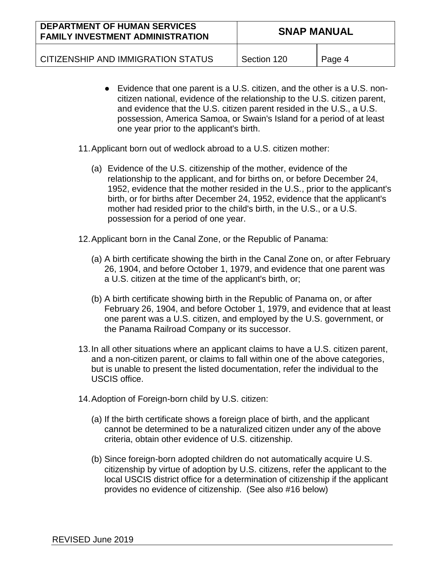| <b>DEPARTMENT OF HUMAN SERVICES</b><br><b>FAMILY INVESTMENT ADMINISTRATION</b> | <b>SNAP MANUAL</b> |        |
|--------------------------------------------------------------------------------|--------------------|--------|
| CITIZENSHIP AND IMMIGRATION STATUS                                             | Section 120        | Page 4 |

- Evidence that one parent is a U.S. citizen, and the other is a U.S. noncitizen national, evidence of the relationship to the U.S. citizen parent, and evidence that the U.S. citizen parent resided in the U.S., a U.S. possession, America Samoa, or Swain's Island for a period of at least one year prior to the applicant's birth.
- 11.Applicant born out of wedlock abroad to a U.S. citizen mother:
	- (a) Evidence of the U.S. citizenship of the mother, evidence of the relationship to the applicant, and for births on, or before December 24, 1952, evidence that the mother resided in the U.S., prior to the applicant's birth, or for births after December 24, 1952, evidence that the applicant's mother had resided prior to the child's birth, in the U.S., or a U.S. possession for a period of one year.
- 12.Applicant born in the Canal Zone, or the Republic of Panama:
	- (a) A birth certificate showing the birth in the Canal Zone on, or after February 26, 1904, and before October 1, 1979, and evidence that one parent was a U.S. citizen at the time of the applicant's birth, or;
	- (b) A birth certificate showing birth in the Republic of Panama on, or after February 26, 1904, and before October 1, 1979, and evidence that at least one parent was a U.S. citizen, and employed by the U.S. government, or the Panama Railroad Company or its successor.
- 13.In all other situations where an applicant claims to have a U.S. citizen parent, and a non-citizen parent, or claims to fall within one of the above categories, but is unable to present the listed documentation, refer the individual to the USCIS office.
- 14.Adoption of Foreign-born child by U.S. citizen:
	- (a) If the birth certificate shows a foreign place of birth, and the applicant cannot be determined to be a naturalized citizen under any of the above criteria, obtain other evidence of U.S. citizenship.
	- (b) Since foreign-born adopted children do not automatically acquire U.S. citizenship by virtue of adoption by U.S. citizens, refer the applicant to the local USCIS district office for a determination of citizenship if the applicant provides no evidence of citizenship. (See also #16 below)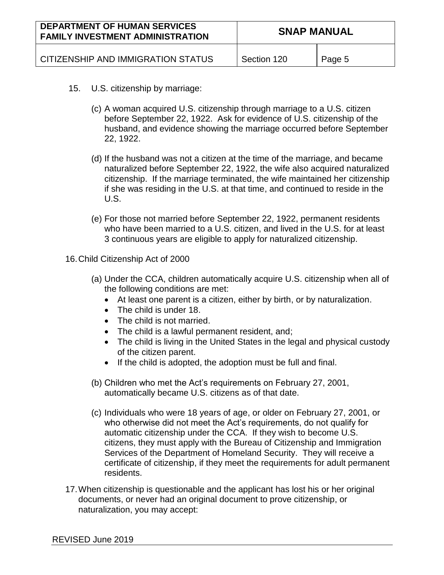| <b>DEPARTMENT OF HUMAN SERVICES</b><br><b>FAMILY INVESTMENT ADMINISTRATION</b> | <b>SNAP MANUAL</b> |        |
|--------------------------------------------------------------------------------|--------------------|--------|
| CITIZENSHIP AND IMMIGRATION STATUS                                             | Section 120        | Page 5 |

- 15. U.S. citizenship by marriage:
	- (c) A woman acquired U.S. citizenship through marriage to a U.S. citizen before September 22, 1922. Ask for evidence of U.S. citizenship of the husband, and evidence showing the marriage occurred before September 22, 1922.
	- (d) If the husband was not a citizen at the time of the marriage, and became naturalized before September 22, 1922, the wife also acquired naturalized citizenship. If the marriage terminated, the wife maintained her citizenship if she was residing in the U.S. at that time, and continued to reside in the U.S.
	- (e) For those not married before September 22, 1922, permanent residents who have been married to a U.S. citizen, and lived in the U.S. for at least 3 continuous years are eligible to apply for naturalized citizenship.
- 16.Child Citizenship Act of 2000
	- (a) Under the CCA, children automatically acquire U.S. citizenship when all of the following conditions are met:
		- At least one parent is a citizen, either by birth, or by naturalization.
		- The child is under 18.
		- The child is not married.
		- The child is a lawful permanent resident, and;
		- The child is living in the United States in the legal and physical custody of the citizen parent.
		- If the child is adopted, the adoption must be full and final.
	- (b) Children who met the Act's requirements on February 27, 2001, automatically became U.S. citizens as of that date.
	- (c) Individuals who were 18 years of age, or older on February 27, 2001, or who otherwise did not meet the Act's requirements, do not qualify for automatic citizenship under the CCA. If they wish to become U.S. citizens, they must apply with the Bureau of Citizenship and Immigration Services of the Department of Homeland Security. They will receive a certificate of citizenship, if they meet the requirements for adult permanent residents.
- 17.When citizenship is questionable and the applicant has lost his or her original documents, or never had an original document to prove citizenship, or naturalization, you may accept: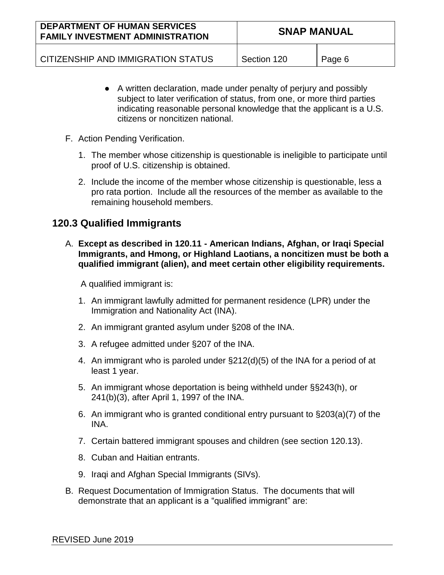| <b>DEPARTMENT OF HUMAN SERVICES</b><br><b>FAMILY INVESTMENT ADMINISTRATION</b> | <b>SNAP MANUAL</b> |        |
|--------------------------------------------------------------------------------|--------------------|--------|
| CITIZENSHIP AND IMMIGRATION STATUS                                             | Section 120        | Page 6 |

- A written declaration, made under penalty of perjury and possibly subject to later verification of status, from one, or more third parties indicating reasonable personal knowledge that the applicant is a U.S. citizens or noncitizen national.
- F. Action Pending Verification.
	- 1. The member whose citizenship is questionable is ineligible to participate until proof of U.S. citizenship is obtained.
	- 2. Include the income of the member whose citizenship is questionable, less a pro rata portion. Include all the resources of the member as available to the remaining household members.

## **120.3 Qualified Immigrants**

A. **Except as described in 120.11 - American Indians, Afghan, or Iraqi Special Immigrants, and Hmong, or Highland Laotians, a noncitizen must be both a qualified immigrant (alien), and meet certain other eligibility requirements.**

A qualified immigrant is:

- 1. An immigrant lawfully admitted for permanent residence (LPR) under the Immigration and Nationality Act (INA).
- 2. An immigrant granted asylum under §208 of the INA.
- 3. A refugee admitted under §207 of the INA.
- 4. An immigrant who is paroled under §212(d)(5) of the INA for a period of at least 1 year.
- 5. An immigrant whose deportation is being withheld under §§243(h), or 241(b)(3), after April 1, 1997 of the INA.
- 6. An immigrant who is granted conditional entry pursuant to §203(a)(7) of the INA.
- 7. Certain battered immigrant spouses and children (see section 120.13).
- 8. Cuban and Haitian entrants.
- 9. Iraqi and Afghan Special Immigrants (SIVs).
- B. Request Documentation of Immigration Status. The documents that will demonstrate that an applicant is a "qualified immigrant" are: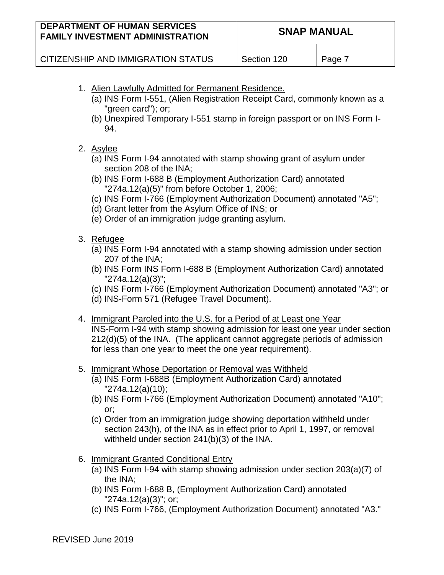| <b>DEPARTMENT OF HUMAN SERVICES</b><br><b>FAMILY INVESTMENT ADMINISTRATION</b>                  | <b>SNAP MANUAL</b> |        |
|-------------------------------------------------------------------------------------------------|--------------------|--------|
| CITIZENSHIP AND IMMIGRATION STATUS                                                              | Section 120        | Page 7 |
| 1. Alien Lawfully Admitted for Permanent Residence.                                             |                    |        |
| (a) INS Form I-551, (Alien Registration Receipt Card, commonly known as a<br>"green card"); or; |                    |        |
| (b) Unevoired Temperanul EE1 etemp in fereign personant ar an INIC Ferm I                       |                    |        |

(b) Unexpired Temporary I-551 stamp in foreign passport or on INS Form I-94.

#### 2. Asylee

- (a) INS Form I-94 annotated with stamp showing grant of asylum under section 208 of the INA;
- (b) INS Form I-688 B (Employment Authorization Card) annotated "274a.12(a)(5)" from before October 1, 2006;
- (c) INS Form I-766 (Employment Authorization Document) annotated "A5";
- (d) Grant letter from the Asylum Office of INS; or
- (e) Order of an immigration judge granting asylum.

### 3. Refugee

- (a) INS Form I-94 annotated with a stamp showing admission under section 207 of the INA;
- (b) INS Form INS Form I-688 B (Employment Authorization Card) annotated "274a.12(a)(3)";
- (c) INS Form I-766 (Employment Authorization Document) annotated "A3"; or
- (d) INS-Form 571 (Refugee Travel Document).
- 4. Immigrant Paroled into the U.S. for a Period of at Least one Year INS-Form I-94 with stamp showing admission for least one year under section 212(d)(5) of the INA. (The applicant cannot aggregate periods of admission

for less than one year to meet the one year requirement).

- 5. Immigrant Whose Deportation or Removal was Withheld
	- (a) INS Form I-688B (Employment Authorization Card) annotated "274a.12(a)(10);
	- (b) INS Form I-766 (Employment Authorization Document) annotated "A10"; or;
	- (c) Order from an immigration judge showing deportation withheld under section 243(h), of the INA as in effect prior to April 1, 1997, or removal withheld under section 241(b)(3) of the INA.
- 6. Immigrant Granted Conditional Entry
	- (a) INS Form I-94 with stamp showing admission under section 203(a)(7) of the INA;
	- (b) INS Form I-688 B, (Employment Authorization Card) annotated "274a.12(a)(3)"; or;
	- (c) INS Form I-766, (Employment Authorization Document) annotated "A3."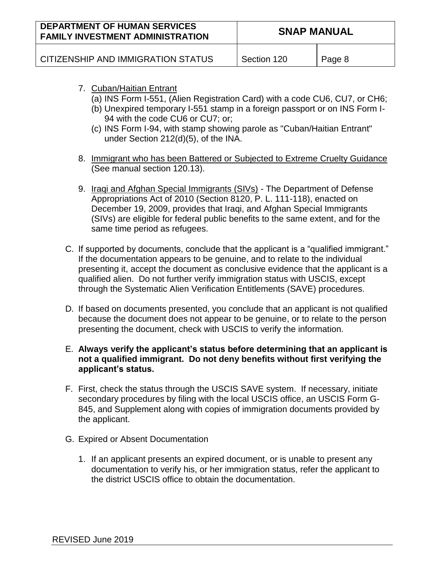| <b>DEPARTMENT OF HUMAN SERVICES</b><br><b>FAMILY INVESTMENT ADMINISTRATION</b> | <b>SNAP MANUAL</b> |        |
|--------------------------------------------------------------------------------|--------------------|--------|
| CITIZENSHIP AND IMMIGRATION STATUS                                             | Section 120        | Page 8 |

- 7. Cuban/Haitian Entrant
	- (a) INS Form I-551, (Alien Registration Card) with a code CU6, CU7, or CH6;
	- (b) Unexpired temporary I-551 stamp in a foreign passport or on INS Form I-94 with the code CU6 or CU7; or;
	- (c) INS Form I-94, with stamp showing parole as "Cuban/Haitian Entrant" under Section 212(d)(5), of the INA.
- 8. Immigrant who has been Battered or Subjected to Extreme Cruelty Guidance (See manual section 120.13).
- 9. Iraqi and Afghan Special Immigrants (SIVs) The Department of Defense Appropriations Act of 2010 (Section 8120, P. L. 111-118), enacted on December 19, 2009, provides that Iraqi, and Afghan Special Immigrants (SIVs) are eligible for federal public benefits to the same extent, and for the same time period as refugees.
- C. If supported by documents, conclude that the applicant is a "qualified immigrant." If the documentation appears to be genuine, and to relate to the individual presenting it, accept the document as conclusive evidence that the applicant is a qualified alien. Do not further verify immigration status with USCIS, except through the Systematic Alien Verification Entitlements (SAVE) procedures.
- D. If based on documents presented, you conclude that an applicant is not qualified because the document does not appear to be genuine, or to relate to the person presenting the document, check with USCIS to verify the information.
- E. **Always verify the applicant's status before determining that an applicant is not a qualified immigrant. Do not deny benefits without first verifying the applicant's status.**
- F. First, check the status through the USCIS SAVE system. If necessary, initiate secondary procedures by filing with the local USCIS office, an USCIS Form G-845, and Supplement along with copies of immigration documents provided by the applicant.
- G. Expired or Absent Documentation
	- 1. If an applicant presents an expired document, or is unable to present any documentation to verify his, or her immigration status, refer the applicant to the district USCIS office to obtain the documentation.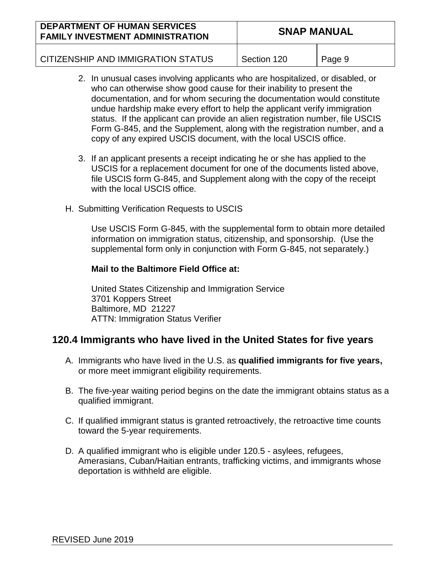| <b>DEPARTMENT OF HUMAN SERVICES</b><br><b>FAMILY INVESTMENT ADMINISTRATION</b> | <b>SNAP MANUAL</b> |        |
|--------------------------------------------------------------------------------|--------------------|--------|
| CITIZENSHIP AND IMMIGRATION STATUS                                             | Section 120        | Page 9 |

- 2. In unusual cases involving applicants who are hospitalized, or disabled, or who can otherwise show good cause for their inability to present the documentation, and for whom securing the documentation would constitute undue hardship make every effort to help the applicant verify immigration status. If the applicant can provide an alien registration number, file USCIS Form G-845, and the Supplement, along with the registration number, and a copy of any expired USCIS document, with the local USCIS office.
- 3. If an applicant presents a receipt indicating he or she has applied to the USCIS for a replacement document for one of the documents listed above, file USCIS form G-845, and Supplement along with the copy of the receipt with the local USCIS office.
- H. Submitting Verification Requests to USCIS

Use USCIS Form G-845, with the supplemental form to obtain more detailed information on immigration status, citizenship, and sponsorship. (Use the supplemental form only in conjunction with Form G-845, not separately.)

#### **Mail to the Baltimore Field Office at:**

United States Citizenship and Immigration Service 3701 Koppers Street Baltimore, MD 21227 ATTN: Immigration Status Verifier

## **120.4 Immigrants who have lived in the United States for five years**

- A. Immigrants who have lived in the U.S. as **qualified immigrants for five years,** or more meet immigrant eligibility requirements.
- B. The five-year waiting period begins on the date the immigrant obtains status as a qualified immigrant.
- C. If qualified immigrant status is granted retroactively, the retroactive time counts toward the 5-year requirements.
- D. A qualified immigrant who is eligible under 120.5 asylees, refugees, Amerasians, Cuban/Haitian entrants, trafficking victims, and immigrants whose deportation is withheld are eligible.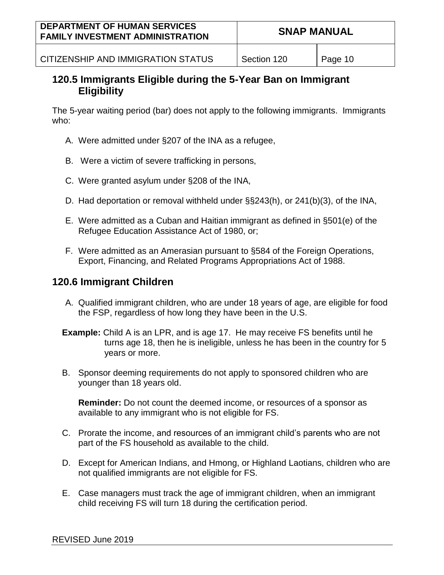| <b>DEPARTMENT OF HUMAN SERVICES</b><br><b>FAMILY INVESTMENT ADMINISTRATION</b> | <b>SNAP MANUAL</b> |         |
|--------------------------------------------------------------------------------|--------------------|---------|
| CITIZENSHIP AND IMMIGRATION STATUS                                             | Section 120        | Page 10 |

## **120.5 Immigrants Eligible during the 5-Year Ban on Immigrant Eligibility**

The 5-year waiting period (bar) does not apply to the following immigrants. Immigrants who:

- A. Were admitted under §207 of the INA as a refugee,
- B. Were a victim of severe trafficking in persons,
- C. Were granted asylum under §208 of the INA,
- D. Had deportation or removal withheld under §§243(h), or 241(b)(3), of the INA,
- E. Were admitted as a Cuban and Haitian immigrant as defined in §501(e) of the Refugee Education Assistance Act of 1980, or;
- F. Were admitted as an Amerasian pursuant to §584 of the Foreign Operations, Export, Financing, and Related Programs Appropriations Act of 1988.

## **120.6 Immigrant Children**

- A. Qualified immigrant children, who are under 18 years of age, are eligible for food the FSP, regardless of how long they have been in the U.S.
- **Example:** Child A is an LPR, and is age 17. He may receive FS benefits until he turns age 18, then he is ineligible, unless he has been in the country for 5 years or more.
- B. Sponsor deeming requirements do not apply to sponsored children who are younger than 18 years old.

**Reminder:** Do not count the deemed income, or resources of a sponsor as available to any immigrant who is not eligible for FS.

- C. Prorate the income, and resources of an immigrant child's parents who are not part of the FS household as available to the child.
- D. Except for American Indians, and Hmong, or Highland Laotians, children who are not qualified immigrants are not eligible for FS.
- E. Case managers must track the age of immigrant children, when an immigrant child receiving FS will turn 18 during the certification period.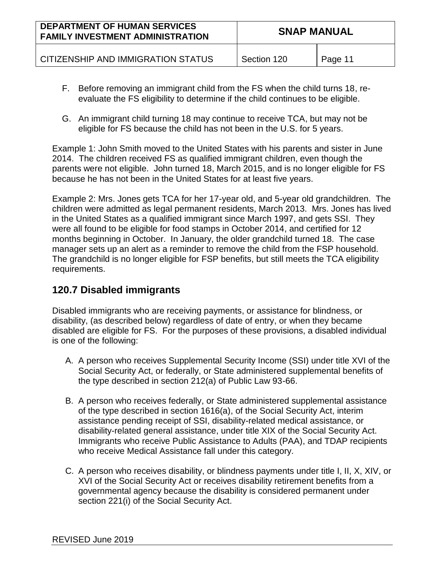| <b>DEPARTMENT OF HUMAN SERVICES</b><br><b>FAMILY INVESTMENT ADMINISTRATION</b> | <b>SNAP MANUAL</b> |         |
|--------------------------------------------------------------------------------|--------------------|---------|
| CITIZENSHIP AND IMMIGRATION STATUS                                             | Section 120        | Page 11 |

- F. Before removing an immigrant child from the FS when the child turns 18, reevaluate the FS eligibility to determine if the child continues to be eligible.
- G. An immigrant child turning 18 may continue to receive TCA, but may not be eligible for FS because the child has not been in the U.S. for 5 years.

Example 1: John Smith moved to the United States with his parents and sister in June 2014. The children received FS as qualified immigrant children, even though the parents were not eligible. John turned 18, March 2015, and is no longer eligible for FS because he has not been in the United States for at least five years.

Example 2: Mrs. Jones gets TCA for her 17-year old, and 5-year old grandchildren. The children were admitted as legal permanent residents, March 2013. Mrs. Jones has lived in the United States as a qualified immigrant since March 1997, and gets SSI. They were all found to be eligible for food stamps in October 2014, and certified for 12 months beginning in October. In January, the older grandchild turned 18. The case manager sets up an alert as a reminder to remove the child from the FSP household. The grandchild is no longer eligible for FSP benefits, but still meets the TCA eligibility requirements.

## **120.7 Disabled immigrants**

Disabled immigrants who are receiving payments, or assistance for blindness, or disability, (as described below) regardless of date of entry, or when they became disabled are eligible for FS. For the purposes of these provisions, a disabled individual is one of the following:

- A. A person who receives Supplemental Security Income (SSI) under title XVI of the Social Security Act, or federally, or State administered supplemental benefits of the type described in section 212(a) of Public Law 93-66.
- B. A person who receives federally, or State administered supplemental assistance of the type described in section 1616(a), of the Social Security Act, interim assistance pending receipt of SSI, disability-related medical assistance, or disability-related general assistance, under title XIX of the Social Security Act. Immigrants who receive Public Assistance to Adults (PAA), and TDAP recipients who receive Medical Assistance fall under this category.
- C. A person who receives disability, or blindness payments under title I, II, X, XIV, or XVI of the Social Security Act or receives disability retirement benefits from a governmental agency because the disability is considered permanent under section 221(i) of the Social Security Act.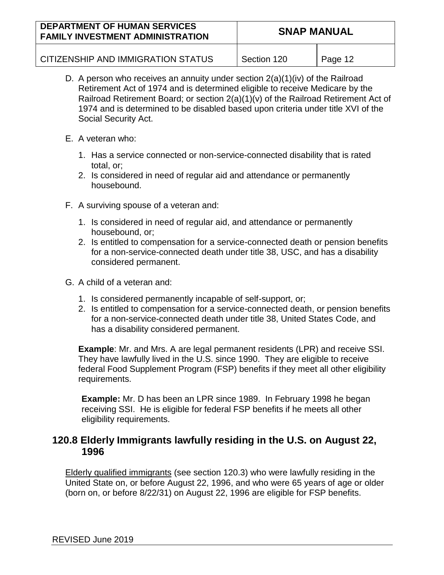| <b>DEPARTMENT OF HUMAN SERVICES</b><br><b>FAMILY INVESTMENT ADMINISTRATION</b> | <b>SNAP MANUAL</b> |         |
|--------------------------------------------------------------------------------|--------------------|---------|
| CITIZENSHIP AND IMMIGRATION STATUS                                             | Section 120        | Page 12 |

- D. A person who receives an annuity under section 2(a)(1)(iv) of the Railroad Retirement Act of 1974 and is determined eligible to receive Medicare by the Railroad Retirement Board; or section 2(a)(1)(v) of the Railroad Retirement Act of 1974 and is determined to be disabled based upon criteria under title XVI of the Social Security Act.
- E. A veteran who:
	- 1. Has a service connected or non-service-connected disability that is rated total, or;
	- 2. Is considered in need of regular aid and attendance or permanently housebound.
- F. A surviving spouse of a veteran and:
	- 1. Is considered in need of regular aid, and attendance or permanently housebound, or;
	- 2. Is entitled to compensation for a service-connected death or pension benefits for a non-service-connected death under title 38, USC, and has a disability considered permanent.
- G. A child of a veteran and:
	- 1. Is considered permanently incapable of self-support, or;
	- 2. Is entitled to compensation for a service-connected death, or pension benefits for a non-service-connected death under title 38, United States Code, and has a disability considered permanent.

**Example**: Mr. and Mrs. A are legal permanent residents (LPR) and receive SSI. They have lawfully lived in the U.S. since 1990. They are eligible to receive federal Food Supplement Program (FSP) benefits if they meet all other eligibility requirements.

**Example:** Mr. D has been an LPR since 1989. In February 1998 he began receiving SSI. He is eligible for federal FSP benefits if he meets all other eligibility requirements.

## **120.8 Elderly Immigrants lawfully residing in the U.S. on August 22, 1996**

Elderly qualified immigrants (see section 120.3) who were lawfully residing in the United State on, or before August 22, 1996, and who were 65 years of age or older (born on, or before 8/22/31) on August 22, 1996 are eligible for FSP benefits.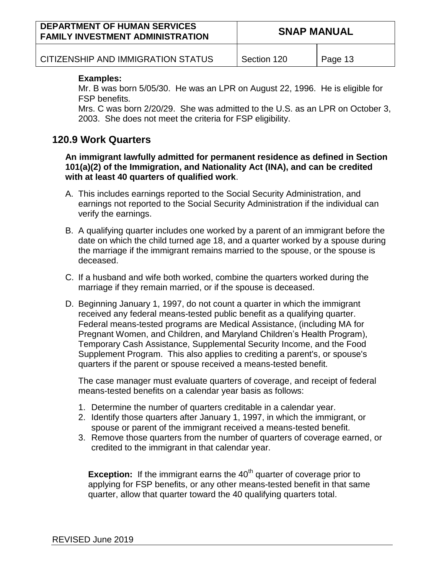| <b>DEPARTMENT OF HUMAN SERVICES</b><br><b>FAMILY INVESTMENT ADMINISTRATION</b> | <b>SNAP MANUAL</b> |         |
|--------------------------------------------------------------------------------|--------------------|---------|
| CITIZENSHIP AND IMMIGRATION STATUS                                             | Section 120        | Page 13 |

#### **Examples:**

Mr. B was born 5/05/30. He was an LPR on August 22, 1996. He is eligible for FSP benefits.

Mrs. C was born 2/20/29. She was admitted to the U.S. as an LPR on October 3, 2003. She does not meet the criteria for FSP eligibility.

### **120.9 Work Quarters**

**An immigrant lawfully admitted for permanent residence as defined in Section 101(a)(2) of the Immigration, and Nationality Act (INA), and can be credited with at least 40 quarters of qualified work**.

- A. This includes earnings reported to the Social Security Administration, and earnings not reported to the Social Security Administration if the individual can verify the earnings.
- B. A qualifying quarter includes one worked by a parent of an immigrant before the date on which the child turned age 18, and a quarter worked by a spouse during the marriage if the immigrant remains married to the spouse, or the spouse is deceased.
- C. If a husband and wife both worked, combine the quarters worked during the marriage if they remain married, or if the spouse is deceased.
- D. Beginning January 1, 1997, do not count a quarter in which the immigrant received any federal means-tested public benefit as a qualifying quarter. Federal means-tested programs are Medical Assistance, (including MA for Pregnant Women, and Children, and Maryland Children's Health Program), Temporary Cash Assistance, Supplemental Security Income, and the Food Supplement Program. This also applies to crediting a parent's, or spouse's quarters if the parent or spouse received a means-tested benefit.

The case manager must evaluate quarters of coverage, and receipt of federal means-tested benefits on a calendar year basis as follows:

- 1. Determine the number of quarters creditable in a calendar year.
- 2. Identify those quarters after January 1, 1997, in which the immigrant, or spouse or parent of the immigrant received a means-tested benefit.
- 3. Remove those quarters from the number of quarters of coverage earned, or credited to the immigrant in that calendar year.

**Exception:** If the immigrant earns the 40<sup>th</sup> quarter of coverage prior to applying for FSP benefits, or any other means-tested benefit in that same quarter, allow that quarter toward the 40 qualifying quarters total.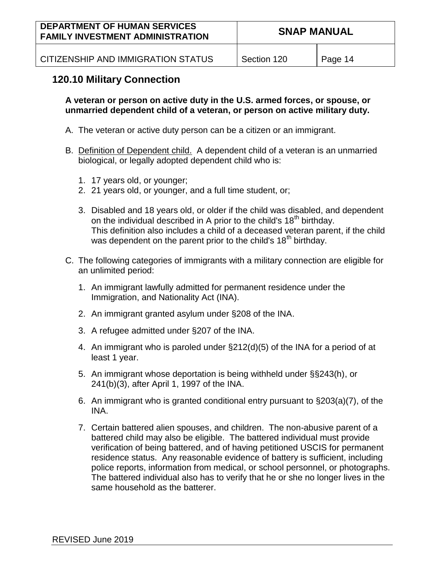| <b>DEPARTMENT OF HUMAN SERVICES</b><br><b>FAMILY INVESTMENT ADMINISTRATION</b> | <b>SNAP MANUAL</b> |         |
|--------------------------------------------------------------------------------|--------------------|---------|
| CITIZENSHIP AND IMMIGRATION STATUS                                             | Section 120        | Page 14 |

## **120.10 Military Connection**

**A veteran or person on active duty in the U.S. armed forces, or spouse, or unmarried dependent child of a veteran, or person on active military duty.**

- A. The veteran or active duty person can be a citizen or an immigrant.
- B. Definition of Dependent child. A dependent child of a veteran is an unmarried biological, or legally adopted dependent child who is:
	- 1. 17 years old, or younger;
	- 2. 21 years old, or younger, and a full time student, or;
	- 3. Disabled and 18 years old, or older if the child was disabled, and dependent on the individual described in A prior to the child's 18<sup>th</sup> birthday. This definition also includes a child of a deceased veteran parent, if the child was dependent on the parent prior to the child's  $18<sup>th</sup>$  birthday.
- C. The following categories of immigrants with a military connection are eligible for an unlimited period:
	- 1. An immigrant lawfully admitted for permanent residence under the Immigration, and Nationality Act (INA).
	- 2. An immigrant granted asylum under §208 of the INA.
	- 3. A refugee admitted under §207 of the INA.
	- 4. An immigrant who is paroled under §212(d)(5) of the INA for a period of at least 1 year.
	- 5. An immigrant whose deportation is being withheld under §§243(h), or 241(b)(3), after April 1, 1997 of the INA.
	- 6. An immigrant who is granted conditional entry pursuant to §203(a)(7), of the INA.
	- 7. Certain battered alien spouses, and children. The non-abusive parent of a battered child may also be eligible. The battered individual must provide verification of being battered, and of having petitioned USCIS for permanent residence status. Any reasonable evidence of battery is sufficient, including police reports, information from medical, or school personnel, or photographs. The battered individual also has to verify that he or she no longer lives in the same household as the batterer.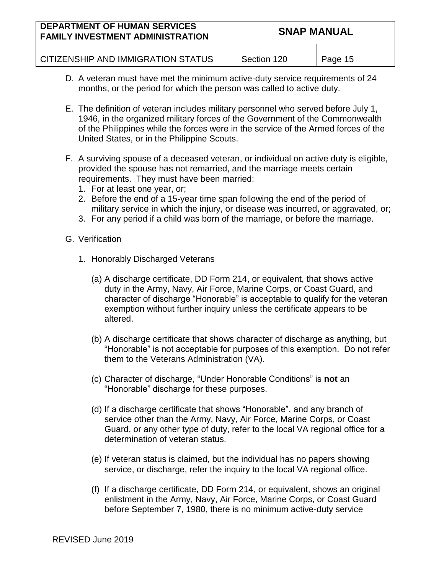| <b>DEPARTMENT OF HUMAN SERVICES</b><br><b>FAMILY INVESTMENT ADMINISTRATION</b> | <b>SNAP MANUAL</b> |         |
|--------------------------------------------------------------------------------|--------------------|---------|
| CITIZENSHIP AND IMMIGRATION STATUS                                             | Section 120        | Page 15 |

- D. A veteran must have met the minimum active-duty service requirements of 24 months, or the period for which the person was called to active duty.
- E. The definition of veteran includes military personnel who served before July 1, 1946, in the organized military forces of the Government of the Commonwealth of the Philippines while the forces were in the service of the Armed forces of the United States, or in the Philippine Scouts.
- F. A surviving spouse of a deceased veteran, or individual on active duty is eligible, provided the spouse has not remarried, and the marriage meets certain requirements. They must have been married:
	- 1. For at least one year, or;
	- 2. Before the end of a 15-year time span following the end of the period of military service in which the injury, or disease was incurred, or aggravated, or;
	- 3. For any period if a child was born of the marriage, or before the marriage.
- G. Verification
	- 1. Honorably Discharged Veterans
		- (a) A discharge certificate, DD Form 214, or equivalent, that shows active duty in the Army, Navy, Air Force, Marine Corps, or Coast Guard, and character of discharge "Honorable" is acceptable to qualify for the veteran exemption without further inquiry unless the certificate appears to be altered.
		- (b) A discharge certificate that shows character of discharge as anything, but "Honorable" is not acceptable for purposes of this exemption. Do not refer them to the Veterans Administration (VA).
		- (c) Character of discharge, "Under Honorable Conditions" is **not** an "Honorable" discharge for these purposes.
		- (d) If a discharge certificate that shows "Honorable", and any branch of service other than the Army, Navy, Air Force, Marine Corps, or Coast Guard, or any other type of duty, refer to the local VA regional office for a determination of veteran status.
		- (e) If veteran status is claimed, but the individual has no papers showing service, or discharge, refer the inquiry to the local VA regional office.
		- (f) If a discharge certificate, DD Form 214, or equivalent, shows an original enlistment in the Army, Navy, Air Force, Marine Corps, or Coast Guard before September 7, 1980, there is no minimum active-duty service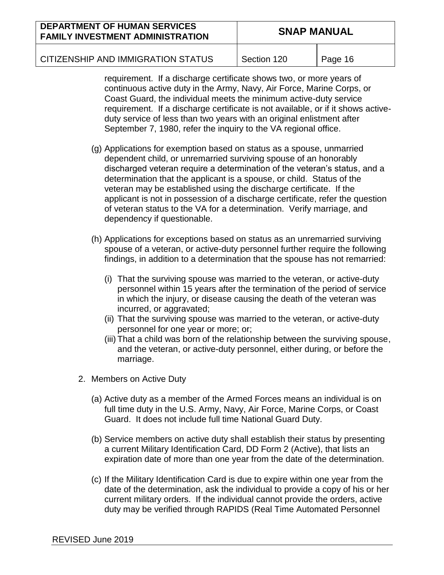| <b>DEPARTMENT OF HUMAN SERVICES</b><br><b>FAMILY INVESTMENT ADMINISTRATION</b> | <b>SNAP MANUAL</b> |         |
|--------------------------------------------------------------------------------|--------------------|---------|
| CITIZENSHIP AND IMMIGRATION STATUS                                             | Section 120        | Page 16 |

requirement. If a discharge certificate shows two, or more years of continuous active duty in the Army, Navy, Air Force, Marine Corps, or Coast Guard, the individual meets the minimum active-duty service requirement. If a discharge certificate is not available, or if it shows activeduty service of less than two years with an original enlistment after September 7, 1980, refer the inquiry to the VA regional office.

- (g) Applications for exemption based on status as a spouse, unmarried dependent child, or unremarried surviving spouse of an honorably discharged veteran require a determination of the veteran's status, and a determination that the applicant is a spouse, or child. Status of the veteran may be established using the discharge certificate. If the applicant is not in possession of a discharge certificate, refer the question of veteran status to the VA for a determination. Verify marriage, and dependency if questionable.
- (h) Applications for exceptions based on status as an unremarried surviving spouse of a veteran, or active-duty personnel further require the following findings, in addition to a determination that the spouse has not remarried:
	- (i) That the surviving spouse was married to the veteran, or active-duty personnel within 15 years after the termination of the period of service in which the injury, or disease causing the death of the veteran was incurred, or aggravated;
	- (ii) That the surviving spouse was married to the veteran, or active-duty personnel for one year or more; or;
	- (iii) That a child was born of the relationship between the surviving spouse, and the veteran, or active-duty personnel, either during, or before the marriage.
- 2. Members on Active Duty
	- (a) Active duty as a member of the Armed Forces means an individual is on full time duty in the U.S. Army, Navy, Air Force, Marine Corps, or Coast Guard. It does not include full time National Guard Duty.
	- (b) Service members on active duty shall establish their status by presenting a current Military Identification Card, DD Form 2 (Active), that lists an expiration date of more than one year from the date of the determination.
	- (c) If the Military Identification Card is due to expire within one year from the date of the determination, ask the individual to provide a copy of his or her current military orders. If the individual cannot provide the orders, active duty may be verified through RAPIDS (Real Time Automated Personnel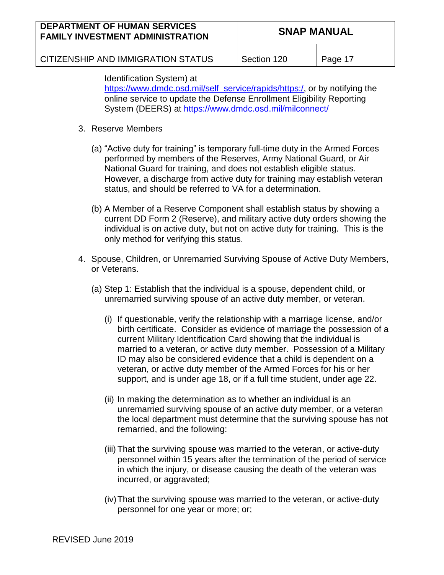| <b>DEPARTMENT OF HUMAN SERVICES</b><br><b>FAMILY INVESTMENT ADMINISTRATION</b> | <b>SNAP MANUAL</b> |         |
|--------------------------------------------------------------------------------|--------------------|---------|
| CITIZENSHIP AND IMMIGRATION STATUS                                             | Section 120        | Page 17 |

Identification System) at

[https://www.dmdc.osd.mil/self\\_service/rapids/https:/](https://www.dmdc.osd.mil/self_service/rapids/https:/), or by notifying the online service to update the Defense Enrollment Eligibility Reporting

System (DEERS) at<https://www.dmdc.osd.mil/milconnect/>

- 3. Reserve Members
	- (a) "Active duty for training" is temporary full-time duty in the Armed Forces performed by members of the Reserves, Army National Guard, or Air National Guard for training, and does not establish eligible status. However, a discharge from active duty for training may establish veteran status, and should be referred to VA for a determination.
	- (b) A Member of a Reserve Component shall establish status by showing a current DD Form 2 (Reserve), and military active duty orders showing the individual is on active duty, but not on active duty for training. This is the only method for verifying this status.
- 4. Spouse, Children, or Unremarried Surviving Spouse of Active Duty Members, or Veterans.
	- (a) Step 1: Establish that the individual is a spouse, dependent child, or unremarried surviving spouse of an active duty member, or veteran.
		- (i) If questionable, verify the relationship with a marriage license, and/or birth certificate. Consider as evidence of marriage the possession of a current Military Identification Card showing that the individual is married to a veteran, or active duty member. Possession of a Military ID may also be considered evidence that a child is dependent on a veteran, or active duty member of the Armed Forces for his or her support, and is under age 18, or if a full time student, under age 22.
		- (ii) In making the determination as to whether an individual is an unremarried surviving spouse of an active duty member, or a veteran the local department must determine that the surviving spouse has not remarried, and the following:
		- (iii) That the surviving spouse was married to the veteran, or active-duty personnel within 15 years after the termination of the period of service in which the injury, or disease causing the death of the veteran was incurred, or aggravated;
		- (iv)That the surviving spouse was married to the veteran, or active-duty personnel for one year or more; or;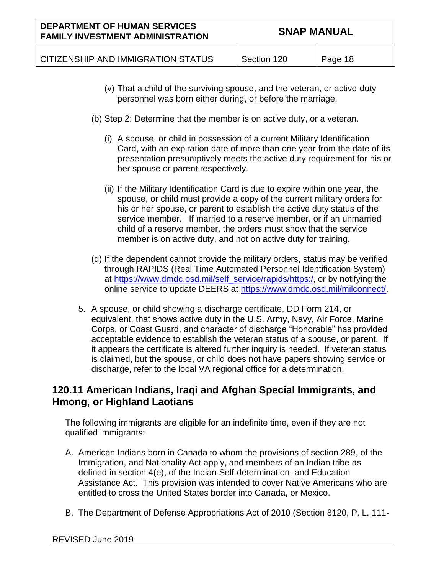| <b>DEPARTMENT OF HUMAN SERVICES</b><br><b>FAMILY INVESTMENT ADMINISTRATION</b> | <b>SNAP MANUAL</b> |         |
|--------------------------------------------------------------------------------|--------------------|---------|
| CITIZENSHIP AND IMMIGRATION STATUS                                             | Section 120        | Page 18 |

- (v) That a child of the surviving spouse, and the veteran, or active-duty personnel was born either during, or before the marriage.
- (b) Step 2: Determine that the member is on active duty, or a veteran.
	- (i) A spouse, or child in possession of a current Military Identification Card, with an expiration date of more than one year from the date of its presentation presumptively meets the active duty requirement for his or her spouse or parent respectively.
	- (ii) If the Military Identification Card is due to expire within one year, the spouse, or child must provide a copy of the current military orders for his or her spouse, or parent to establish the active duty status of the service member. If married to a reserve member, or if an unmarried child of a reserve member, the orders must show that the service member is on active duty, and not on active duty for training.
- (d) If the dependent cannot provide the military orders, status may be verified through RAPIDS (Real Time Automated Personnel Identification System) at [https://www.dmdc.osd.mil/self\\_service/rapids/https:/](https://www.dmdc.osd.mil/self_service/rapids/https:/), or by notifying the online service to update DEERS at [https://www.dmdc.osd.mil/milconnect/.](https://www.dmdc.osd.mil/milconnect/)
- 5. A spouse, or child showing a discharge certificate, DD Form 214, or equivalent, that shows active duty in the U.S. Army, Navy, Air Force, Marine Corps, or Coast Guard, and character of discharge "Honorable" has provided acceptable evidence to establish the veteran status of a spouse, or parent. If it appears the certificate is altered further inquiry is needed. If veteran status is claimed, but the spouse, or child does not have papers showing service or discharge, refer to the local VA regional office for a determination.

## **120.11 American Indians, Iraqi and Afghan Special Immigrants, and Hmong, or Highland Laotians**

The following immigrants are eligible for an indefinite time, even if they are not qualified immigrants:

- A. American Indians born in Canada to whom the provisions of section 289, of the Immigration, and Nationality Act apply, and members of an Indian tribe as defined in section 4(e), of the Indian Self-determination, and Education Assistance Act. This provision was intended to cover Native Americans who are entitled to cross the United States border into Canada, or Mexico.
- B. The Department of Defense Appropriations Act of 2010 (Section 8120, P. L. 111-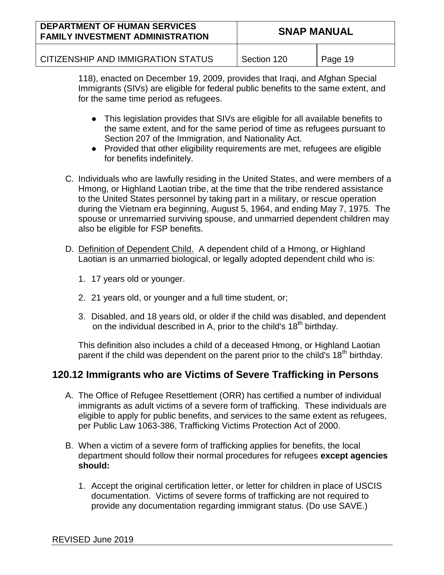| <b>DEPARTMENT OF HUMAN SERVICES</b><br><b>FAMILY INVESTMENT ADMINISTRATION</b> | <b>SNAP MANUAL</b> |         |
|--------------------------------------------------------------------------------|--------------------|---------|
| CITIZENSHIP AND IMMIGRATION STATUS                                             | Section 120        | Page 19 |

118), enacted on December 19, 2009, provides that Iraqi, and Afghan Special Immigrants (SIVs) are eligible for federal public benefits to the same extent, and for the same time period as refugees.

- This legislation provides that SIVs are eligible for all available benefits to the same extent, and for the same period of time as refugees pursuant to Section 207 of the Immigration, and Nationality Act.
- Provided that other eligibility requirements are met, refugees are eligible for benefits indefinitely.
- C. Individuals who are lawfully residing in the United States, and were members of a Hmong, or Highland Laotian tribe, at the time that the tribe rendered assistance to the United States personnel by taking part in a military, or rescue operation during the Vietnam era beginning, August 5, 1964, and ending May 7, 1975. The spouse or unremarried surviving spouse, and unmarried dependent children may also be eligible for FSP benefits.
- D. Definition of Dependent Child. A dependent child of a Hmong, or Highland Laotian is an unmarried biological, or legally adopted dependent child who is:
	- 1. 17 years old or younger.
	- 2. 21 years old, or younger and a full time student, or;
	- 3. Disabled, and 18 years old, or older if the child was disabled, and dependent on the individual described in A, prior to the child's 18<sup>th</sup> birthday.

This definition also includes a child of a deceased Hmong, or Highland Laotian parent if the child was dependent on the parent prior to the child's 18<sup>th</sup> birthday.

## **120.12 Immigrants who are Victims of Severe Trafficking in Persons**

- A. The Office of Refugee Resettlement (ORR) has certified a number of individual immigrants as adult victims of a severe form of trafficking. These individuals are eligible to apply for public benefits, and services to the same extent as refugees, per Public Law 1063-386, Trafficking Victims Protection Act of 2000.
- B. When a victim of a severe form of trafficking applies for benefits, the local department should follow their normal procedures for refugees **except agencies should:**
	- 1. Accept the original certification letter, or letter for children in place of USCIS documentation. Victims of severe forms of trafficking are not required to provide any documentation regarding immigrant status. (Do use SAVE.)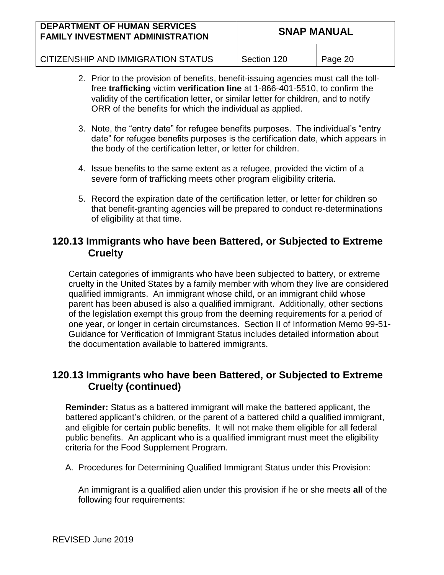| <b>DEPARTMENT OF HUMAN SERVICES</b><br><b>FAMILY INVESTMENT ADMINISTRATION</b> | <b>SNAP MANUAL</b> |         |
|--------------------------------------------------------------------------------|--------------------|---------|
| CITIZENSHIP AND IMMIGRATION STATUS                                             | Section 120        | Page 20 |

- 2. Prior to the provision of benefits, benefit-issuing agencies must call the tollfree **trafficking** victim **verification line** at 1-866-401-5510, to confirm the validity of the certification letter, or similar letter for children, and to notify ORR of the benefits for which the individual as applied.
- 3. Note, the "entry date" for refugee benefits purposes. The individual's "entry date" for refugee benefits purposes is the certification date, which appears in the body of the certification letter, or letter for children.
- 4. Issue benefits to the same extent as a refugee, provided the victim of a severe form of trafficking meets other program eligibility criteria.
- 5. Record the expiration date of the certification letter, or letter for children so that benefit-granting agencies will be prepared to conduct re-determinations of eligibility at that time.

## **120.13 Immigrants who have been Battered, or Subjected to Extreme Cruelty**

Certain categories of immigrants who have been subjected to battery, or extreme cruelty in the United States by a family member with whom they live are considered qualified immigrants. An immigrant whose child, or an immigrant child whose parent has been abused is also a qualified immigrant. Additionally, other sections of the legislation exempt this group from the deeming requirements for a period of one year, or longer in certain circumstances. Section II of Information Memo 99-51- Guidance for Verification of Immigrant Status includes detailed information about the documentation available to battered immigrants.

## **120.13 Immigrants who have been Battered, or Subjected to Extreme Cruelty (continued)**

**Reminder:** Status as a battered immigrant will make the battered applicant, the battered applicant's children, or the parent of a battered child a qualified immigrant, and eligible for certain public benefits. It will not make them eligible for all federal public benefits. An applicant who is a qualified immigrant must meet the eligibility criteria for the Food Supplement Program.

A. Procedures for Determining Qualified Immigrant Status under this Provision:

An immigrant is a qualified alien under this provision if he or she meets **all** of the following four requirements: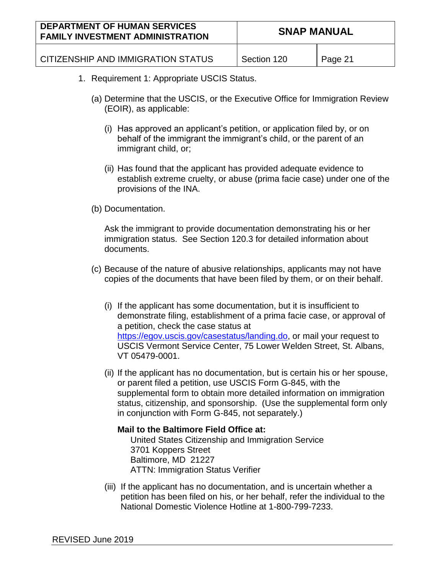| <b>DEPARTMENT OF HUMAN SERVICES</b><br><b>FAMILY INVESTMENT ADMINISTRATION</b> | <b>SNAP MANUAL</b> |         |
|--------------------------------------------------------------------------------|--------------------|---------|
| CITIZENSHIP AND IMMIGRATION STATUS                                             | Section 120        | Page 21 |

- 1. Requirement 1: Appropriate USCIS Status.
	- (a) Determine that the USCIS, or the Executive Office for Immigration Review (EOIR), as applicable:
		- (i) Has approved an applicant's petition, or application filed by, or on behalf of the immigrant the immigrant's child, or the parent of an immigrant child, or;
		- (ii) Has found that the applicant has provided adequate evidence to establish extreme cruelty, or abuse (prima facie case) under one of the provisions of the INA.

#### (b) Documentation.

Ask the immigrant to provide documentation demonstrating his or her immigration status. See Section 120.3 for detailed information about documents.

- (c) Because of the nature of abusive relationships, applicants may not have copies of the documents that have been filed by them, or on their behalf.
	- (i) If the applicant has some documentation, but it is insufficient to demonstrate filing, establishment of a prima facie case, or approval of a petition, check the case status at [https://egov.uscis.gov/casestatus/landing.do,](https://egov.uscis.gov/casestatus/landing.do) or mail your request to USCIS Vermont Service Center, 75 Lower Welden Street, St. Albans, VT 05479-0001.
	- (ii) If the applicant has no documentation, but is certain his or her spouse, or parent filed a petition, use USCIS Form G-845, with the supplemental form to obtain more detailed information on immigration status, citizenship, and sponsorship. (Use the supplemental form only in conjunction with Form G-845, not separately.)

#### **Mail to the Baltimore Field Office at:** United States Citizenship and Immigration Service 3701 Koppers Street Baltimore, MD 21227 ATTN: Immigration Status Verifier

(iii) If the applicant has no documentation, and is uncertain whether a petition has been filed on his, or her behalf, refer the individual to the National Domestic Violence Hotline at 1-800-799-7233.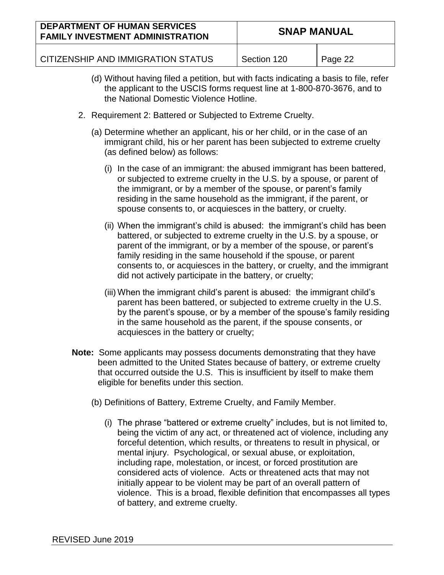| <b>DEPARTMENT OF HUMAN SERVICES</b><br><b>FAMILY INVESTMENT ADMINISTRATION</b> | <b>SNAP MANUAL</b> |         |
|--------------------------------------------------------------------------------|--------------------|---------|
| CITIZENSHIP AND IMMIGRATION STATUS                                             | Section 120        | Page 22 |

- (d) Without having filed a petition, but with facts indicating a basis to file, refer the applicant to the USCIS forms request line at 1-800-870-3676, and to the National Domestic Violence Hotline.
- 2. Requirement 2: Battered or Subjected to Extreme Cruelty.
	- (a) Determine whether an applicant, his or her child, or in the case of an immigrant child, his or her parent has been subjected to extreme cruelty (as defined below) as follows:
		- (i) In the case of an immigrant: the abused immigrant has been battered, or subjected to extreme cruelty in the U.S. by a spouse, or parent of the immigrant, or by a member of the spouse, or parent's family residing in the same household as the immigrant, if the parent, or spouse consents to, or acquiesces in the battery, or cruelty.
		- (ii) When the immigrant's child is abused: the immigrant's child has been battered, or subjected to extreme cruelty in the U.S. by a spouse, or parent of the immigrant, or by a member of the spouse, or parent's family residing in the same household if the spouse, or parent consents to, or acquiesces in the battery, or cruelty, and the immigrant did not actively participate in the battery, or cruelty;
		- (iii) When the immigrant child's parent is abused: the immigrant child's parent has been battered, or subjected to extreme cruelty in the U.S. by the parent's spouse, or by a member of the spouse's family residing in the same household as the parent, if the spouse consents, or acquiesces in the battery or cruelty;
- **Note:** Some applicants may possess documents demonstrating that they have been admitted to the United States because of battery, or extreme cruelty that occurred outside the U.S. This is insufficient by itself to make them eligible for benefits under this section.
	- (b) Definitions of Battery, Extreme Cruelty, and Family Member.
		- (i) The phrase "battered or extreme cruelty" includes, but is not limited to, being the victim of any act, or threatened act of violence, including any forceful detention, which results, or threatens to result in physical, or mental injury. Psychological, or sexual abuse, or exploitation, including rape, molestation, or incest, or forced prostitution are considered acts of violence. Acts or threatened acts that may not initially appear to be violent may be part of an overall pattern of violence. This is a broad, flexible definition that encompasses all types of battery, and extreme cruelty.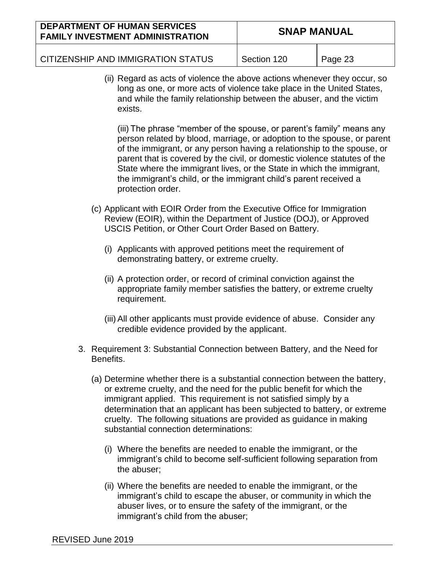| <b>DEPARTMENT OF HUMAN SERVICES</b><br><b>FAMILY INVESTMENT ADMINISTRATION</b> | <b>SNAP MANUAL</b> |         |
|--------------------------------------------------------------------------------|--------------------|---------|
| CITIZENSHIP AND IMMIGRATION STATUS                                             | Section 120        | Page 23 |

(ii) Regard as acts of violence the above actions whenever they occur, so long as one, or more acts of violence take place in the United States, and while the family relationship between the abuser, and the victim exists.

(iii) The phrase "member of the spouse, or parent's family" means any person related by blood, marriage, or adoption to the spouse, or parent of the immigrant, or any person having a relationship to the spouse, or parent that is covered by the civil, or domestic violence statutes of the State where the immigrant lives, or the State in which the immigrant, the immigrant's child, or the immigrant child's parent received a protection order.

- (c) Applicant with EOIR Order from the Executive Office for Immigration Review (EOIR), within the Department of Justice (DOJ), or Approved USCIS Petition, or Other Court Order Based on Battery.
	- (i) Applicants with approved petitions meet the requirement of demonstrating battery, or extreme cruelty.
	- (ii) A protection order, or record of criminal conviction against the appropriate family member satisfies the battery, or extreme cruelty requirement.
	- (iii) All other applicants must provide evidence of abuse. Consider any credible evidence provided by the applicant.
- 3. Requirement 3: Substantial Connection between Battery, and the Need for Benefits.
	- (a) Determine whether there is a substantial connection between the battery, or extreme cruelty, and the need for the public benefit for which the immigrant applied. This requirement is not satisfied simply by a determination that an applicant has been subjected to battery, or extreme cruelty. The following situations are provided as guidance in making substantial connection determinations:
		- (i) Where the benefits are needed to enable the immigrant, or the immigrant's child to become self-sufficient following separation from the abuser;
		- (ii) Where the benefits are needed to enable the immigrant, or the immigrant's child to escape the abuser, or community in which the abuser lives, or to ensure the safety of the immigrant, or the immigrant's child from the abuser;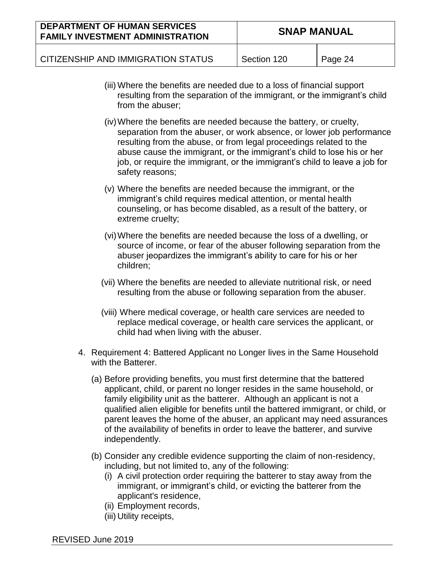| <b>DEPARTMENT OF HUMAN SERVICES</b><br><b>FAMILY INVESTMENT ADMINISTRATION</b> | <b>SNAP MANUAL</b> |         |
|--------------------------------------------------------------------------------|--------------------|---------|
| CITIZENSHIP AND IMMIGRATION STATUS                                             | Section 120        | Page 24 |

- (iii) Where the benefits are needed due to a loss of financial support resulting from the separation of the immigrant, or the immigrant's child from the abuser;
- (iv)Where the benefits are needed because the battery, or cruelty, separation from the abuser, or work absence, or lower job performance resulting from the abuse, or from legal proceedings related to the abuse cause the immigrant, or the immigrant's child to lose his or her job, or require the immigrant, or the immigrant's child to leave a job for safety reasons;
- (v) Where the benefits are needed because the immigrant, or the immigrant's child requires medical attention, or mental health counseling, or has become disabled, as a result of the battery, or extreme cruelty;
- (vi)Where the benefits are needed because the loss of a dwelling, or source of income, or fear of the abuser following separation from the abuser jeopardizes the immigrant's ability to care for his or her children;
- (vii) Where the benefits are needed to alleviate nutritional risk, or need resulting from the abuse or following separation from the abuser.
- (viii) Where medical coverage, or health care services are needed to replace medical coverage, or health care services the applicant, or child had when living with the abuser.
- 4. Requirement 4: Battered Applicant no Longer lives in the Same Household with the Batterer.
	- (a) Before providing benefits, you must first determine that the battered applicant, child, or parent no longer resides in the same household, or family eligibility unit as the batterer. Although an applicant is not a qualified alien eligible for benefits until the battered immigrant, or child, or parent leaves the home of the abuser, an applicant may need assurances of the availability of benefits in order to leave the batterer, and survive independently.
	- (b) Consider any credible evidence supporting the claim of non-residency, including, but not limited to, any of the following:
		- (i) A civil protection order requiring the batterer to stay away from the immigrant, or immigrant's child, or evicting the batterer from the applicant's residence,
		- (ii) Employment records,
		- (iii) Utility receipts,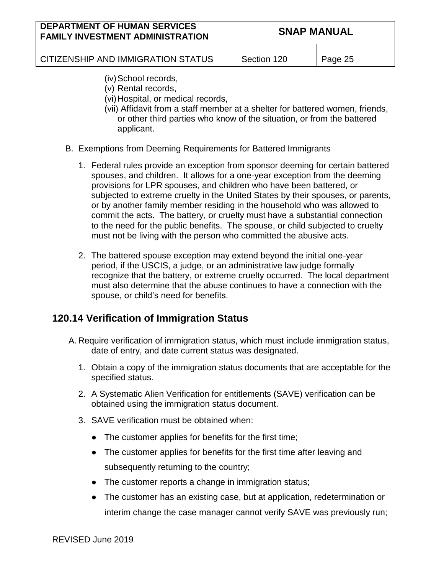| <b>DEPARTMENT OF HUMAN SERVICES</b><br><b>FAMILY INVESTMENT ADMINISTRATION</b> | <b>SNAP MANUAL</b> |         |
|--------------------------------------------------------------------------------|--------------------|---------|
| CITIZENSHIP AND IMMIGRATION STATUS                                             | Section 120        | Page 25 |

- (iv) School records,
- (v) Rental records,
- (vi)Hospital, or medical records,
- (vii) Affidavit from a staff member at a shelter for battered women, friends, or other third parties who know of the situation, or from the battered applicant.
- B. Exemptions from Deeming Requirements for Battered Immigrants
	- 1. Federal rules provide an exception from sponsor deeming for certain battered spouses, and children. It allows for a one-year exception from the deeming provisions for LPR spouses, and children who have been battered, or subjected to extreme cruelty in the United States by their spouses, or parents, or by another family member residing in the household who was allowed to commit the acts. The battery, or cruelty must have a substantial connection to the need for the public benefits. The spouse, or child subjected to cruelty must not be living with the person who committed the abusive acts.
	- 2. The battered spouse exception may extend beyond the initial one-year period, if the USCIS, a judge, or an administrative law judge formally recognize that the battery, or extreme cruelty occurred. The local department must also determine that the abuse continues to have a connection with the spouse, or child's need for benefits.

## **120.14 Verification of Immigration Status**

- A. Require verification of immigration status, which must include immigration status, date of entry, and date current status was designated.
	- 1. Obtain a copy of the immigration status documents that are acceptable for the specified status.
	- 2. A Systematic Alien Verification for entitlements (SAVE) verification can be obtained using the immigration status document.
	- 3. SAVE verification must be obtained when:
		- The customer applies for benefits for the first time;
		- The customer applies for benefits for the first time after leaving and subsequently returning to the country;
		- The customer reports a change in immigration status;
		- The customer has an existing case, but at application, redetermination or interim change the case manager cannot verify SAVE was previously run;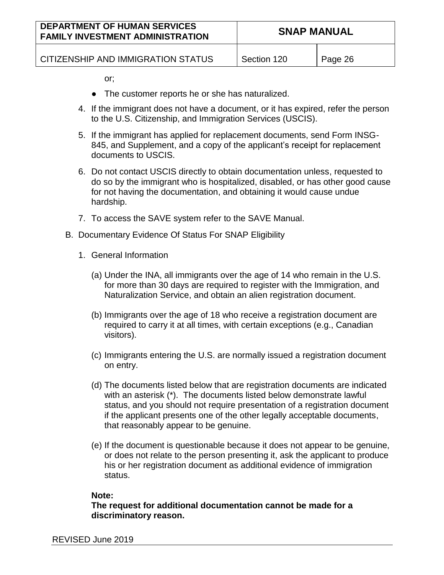| <b>DEPARTMENT OF HUMAN SERVICES</b><br><b>FAMILY INVESTMENT ADMINISTRATION</b> | <b>SNAP MANUAL</b> |         |
|--------------------------------------------------------------------------------|--------------------|---------|
| CITIZENSHIP AND IMMIGRATION STATUS                                             | Section 120        | Page 26 |

or;

- The customer reports he or she has naturalized.
- 4. If the immigrant does not have a document, or it has expired, refer the person to the U.S. Citizenship, and Immigration Services (USCIS).
- 5. If the immigrant has applied for replacement documents, send Form INSG-845, and Supplement, and a copy of the applicant's receipt for replacement documents to USCIS.
- 6. Do not contact USCIS directly to obtain documentation unless, requested to do so by the immigrant who is hospitalized, disabled, or has other good cause for not having the documentation, and obtaining it would cause undue hardship.
- 7. To access the SAVE system refer to the SAVE Manual.
- B. Documentary Evidence Of Status For SNAP Eligibility
	- 1. General Information
		- (a) Under the INA, all immigrants over the age of 14 who remain in the U.S. for more than 30 days are required to register with the Immigration, and Naturalization Service, and obtain an alien registration document.
		- (b) Immigrants over the age of 18 who receive a registration document are required to carry it at all times, with certain exceptions (e.g., Canadian visitors).
		- (c) Immigrants entering the U.S. are normally issued a registration document on entry.
		- (d) The documents listed below that are registration documents are indicated with an asterisk (\*). The documents listed below demonstrate lawful status, and you should not require presentation of a registration document if the applicant presents one of the other legally acceptable documents, that reasonably appear to be genuine.
		- (e) If the document is questionable because it does not appear to be genuine, or does not relate to the person presenting it, ask the applicant to produce his or her registration document as additional evidence of immigration status.

#### **Note:**

**The request for additional documentation cannot be made for a discriminatory reason.**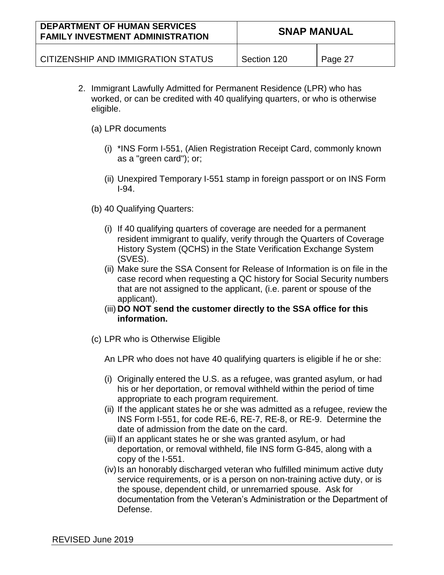| <b>DEPARTMENT OF HUMAN SERVICES</b><br><b>FAMILY INVESTMENT ADMINISTRATION</b> | <b>SNAP MANUAL</b> |         |
|--------------------------------------------------------------------------------|--------------------|---------|
| CITIZENSHIP AND IMMIGRATION STATUS                                             | Section 120        | Page 27 |

- 2. Immigrant Lawfully Admitted for Permanent Residence (LPR) who has worked, or can be credited with 40 qualifying quarters, or who is otherwise eligible.
	- (a) LPR documents
		- (i) \*INS Form I-551, (Alien Registration Receipt Card, commonly known as a "green card"); or;
		- (ii) Unexpired Temporary I-551 stamp in foreign passport or on INS Form I-94.
	- (b) 40 Qualifying Quarters:
		- (i) If 40 qualifying quarters of coverage are needed for a permanent resident immigrant to qualify, verify through the Quarters of Coverage History System (QCHS) in the State Verification Exchange System (SVES).
		- (ii) Make sure the SSA Consent for Release of Information is on file in the case record when requesting a QC history for Social Security numbers that are not assigned to the applicant, (i.e. parent or spouse of the applicant).
		- (iii) **DO NOT send the customer directly to the SSA office for this information.**
	- (c) LPR who is Otherwise Eligible

An LPR who does not have 40 qualifying quarters is eligible if he or she:

- (i) Originally entered the U.S. as a refugee, was granted asylum, or had his or her deportation, or removal withheld within the period of time appropriate to each program requirement.
- (ii) If the applicant states he or she was admitted as a refugee, review the INS Form I-551, for code RE-6, RE-7, RE-8, or RE-9. Determine the date of admission from the date on the card.
- (iii) If an applicant states he or she was granted asylum, or had deportation, or removal withheld, file INS form G-845, along with a copy of the I-551.
- (iv) Is an honorably discharged veteran who fulfilled minimum active duty service requirements, or is a person on non-training active duty, or is the spouse, dependent child, or unremarried spouse. Ask for documentation from the Veteran's Administration or the Department of Defense.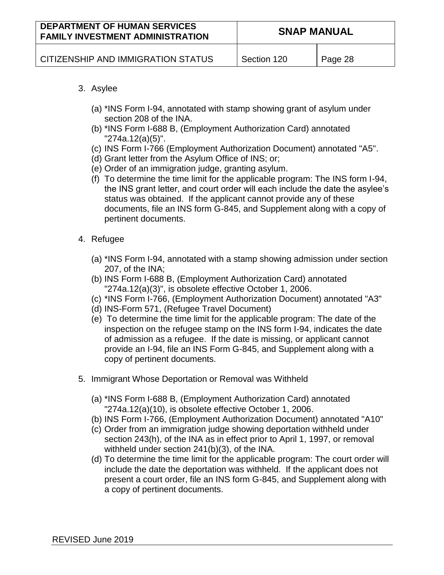| <b>DEPARTMENT OF HUMAN SERVICES</b><br><b>FAMILY INVESTMENT ADMINISTRATION</b> | <b>SNAP MANUAL</b> |         |
|--------------------------------------------------------------------------------|--------------------|---------|
| CITIZENSHIP AND IMMIGRATION STATUS                                             | Section 120        | Page 28 |

#### 3. Asylee

- (a) \*INS Form I-94, annotated with stamp showing grant of asylum under section 208 of the INA.
- (b) \*INS Form I-688 B, (Employment Authorization Card) annotated "274a.12(a)(5)".
- (c) INS Form I-766 (Employment Authorization Document) annotated "A5".
- (d) Grant letter from the Asylum Office of INS; or;
- (e) Order of an immigration judge, granting asylum.
- (f) To determine the time limit for the applicable program: The INS form I-94, the INS grant letter, and court order will each include the date the asylee's status was obtained. If the applicant cannot provide any of these documents, file an INS form G-845, and Supplement along with a copy of pertinent documents.
- 4. Refugee
	- (a) \*INS Form I-94, annotated with a stamp showing admission under section 207, of the INA;
	- (b) INS Form I-688 B, (Employment Authorization Card) annotated "274a.12(a)(3)", is obsolete effective October 1, 2006.
	- (c) \*INS Form I-766, (Employment Authorization Document) annotated "A3"
	- (d) INS-Form 571, (Refugee Travel Document)
	- (e) To determine the time limit for the applicable program: The date of the inspection on the refugee stamp on the INS form I-94, indicates the date of admission as a refugee. If the date is missing, or applicant cannot provide an I-94, file an INS Form G-845, and Supplement along with a copy of pertinent documents.
- 5. Immigrant Whose Deportation or Removal was Withheld
	- (a) \*INS Form I-688 B, (Employment Authorization Card) annotated "274a.12(a)(10), is obsolete effective October 1, 2006.
	- (b) INS Form I-766, (Employment Authorization Document) annotated "A10"
	- (c) Order from an immigration judge showing deportation withheld under section 243(h), of the INA as in effect prior to April 1, 1997, or removal withheld under section 241(b)(3), of the INA.
	- (d) To determine the time limit for the applicable program: The court order will include the date the deportation was withheld. If the applicant does not present a court order, file an INS form G-845, and Supplement along with a copy of pertinent documents.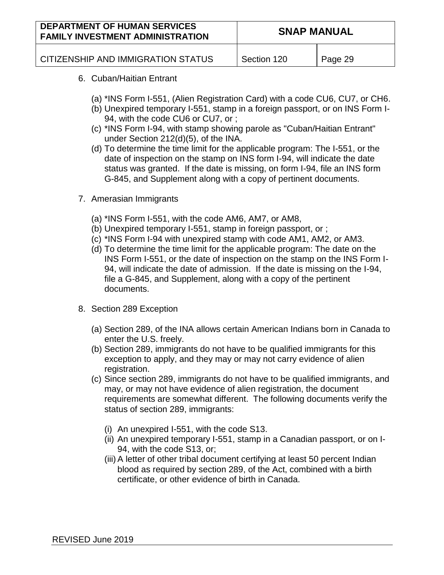| <b>DEPARTMENT OF HUMAN SERVICES</b><br><b>FAMILY INVESTMENT ADMINISTRATION</b> | <b>SNAP MANUAL</b> |         |
|--------------------------------------------------------------------------------|--------------------|---------|
| CITIZENSHIP AND IMMIGRATION STATUS                                             | Section 120        | Page 29 |

- 6. Cuban/Haitian Entrant
	- (a) \*INS Form I-551, (Alien Registration Card) with a code CU6, CU7, or CH6.
	- (b) Unexpired temporary I-551, stamp in a foreign passport, or on INS Form I-94, with the code CU6 or CU7, or ;
	- (c) \*INS Form I-94, with stamp showing parole as "Cuban/Haitian Entrant" under Section 212(d)(5), of the INA.
	- (d) To determine the time limit for the applicable program: The I-551, or the date of inspection on the stamp on INS form I-94, will indicate the date status was granted. If the date is missing, on form I-94, file an INS form G-845, and Supplement along with a copy of pertinent documents.
- 7. Amerasian Immigrants
	- (a) \*INS Form I-551, with the code AM6, AM7, or AM8,
	- (b) Unexpired temporary I-551, stamp in foreign passport, or ;
	- (c) \*INS Form I-94 with unexpired stamp with code AM1, AM2, or AM3.
	- (d) To determine the time limit for the applicable program: The date on the INS Form I-551, or the date of inspection on the stamp on the INS Form I-94, will indicate the date of admission. If the date is missing on the I-94, file a G-845, and Supplement, along with a copy of the pertinent documents.
- 8. Section 289 Exception
	- (a) Section 289, of the INA allows certain American Indians born in Canada to enter the U.S. freely.
	- (b) Section 289, immigrants do not have to be qualified immigrants for this exception to apply, and they may or may not carry evidence of alien registration.
	- (c) Since section 289, immigrants do not have to be qualified immigrants, and may, or may not have evidence of alien registration, the document requirements are somewhat different. The following documents verify the status of section 289, immigrants:
		- (i) An unexpired I-551, with the code S13.
		- (ii) An unexpired temporary I-551, stamp in a Canadian passport, or on I-94, with the code S13, or;
		- (iii) A letter of other tribal document certifying at least 50 percent Indian blood as required by section 289, of the Act, combined with a birth certificate, or other evidence of birth in Canada.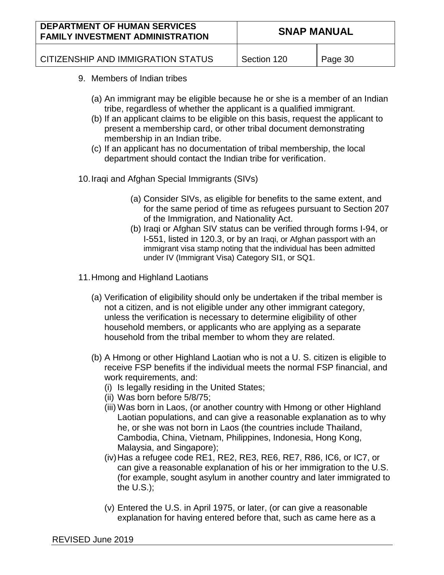| <b>DEPARTMENT OF HUMAN SERVICES</b><br><b>FAMILY INVESTMENT ADMINISTRATION</b> | <b>SNAP MANUAL</b> |         |
|--------------------------------------------------------------------------------|--------------------|---------|
| CITIZENSHIP AND IMMIGRATION STATUS                                             | Section 120        | Page 30 |

- 9. Members of Indian tribes
	- (a) An immigrant may be eligible because he or she is a member of an Indian tribe, regardless of whether the applicant is a qualified immigrant.
	- (b) If an applicant claims to be eligible on this basis, request the applicant to present a membership card, or other tribal document demonstrating membership in an Indian tribe.
	- (c) If an applicant has no documentation of tribal membership, the local department should contact the Indian tribe for verification.

10.Iraqi and Afghan Special Immigrants (SIVs)

- (a) Consider SIVs, as eligible for benefits to the same extent, and for the same period of time as refugees pursuant to Section 207 of the Immigration, and Nationality Act.
- (b) Iraqi or Afghan SIV status can be verified through forms I-94, or I-551, listed in 120.3, or by an Iraqi, or Afghan passport with an immigrant visa stamp noting that the individual has been admitted under IV (Immigrant Visa) Category SI1, or SQ1.
- 11.Hmong and Highland Laotians
	- (a) Verification of eligibility should only be undertaken if the tribal member is not a citizen, and is not eligible under any other immigrant category, unless the verification is necessary to determine eligibility of other household members, or applicants who are applying as a separate household from the tribal member to whom they are related.
	- (b) A Hmong or other Highland Laotian who is not a U. S. citizen is eligible to receive FSP benefits if the individual meets the normal FSP financial, and work requirements, and:
		- (i) Is legally residing in the United States;
		- (ii) Was born before 5/8/75;
		- (iii) Was born in Laos, (or another country with Hmong or other Highland Laotian populations, and can give a reasonable explanation as to why he, or she was not born in Laos (the countries include Thailand, Cambodia, China, Vietnam, Philippines, Indonesia, Hong Kong, Malaysia, and Singapore);
		- (iv)Has a refugee code RE1, RE2, RE3, RE6, RE7, R86, IC6, or IC7, or can give a reasonable explanation of his or her immigration to the U.S. (for example, sought asylum in another country and later immigrated to the U.S.);
		- (v) Entered the U.S. in April 1975, or later, (or can give a reasonable explanation for having entered before that, such as came here as a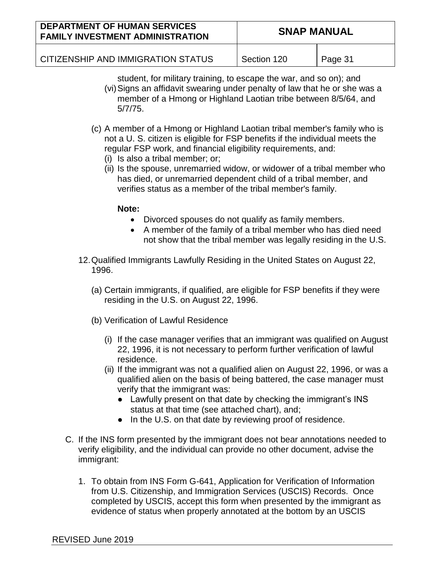| <b>DEPARTMENT OF HUMAN SERVICES</b><br><b>FAMILY INVESTMENT ADMINISTRATION</b> | <b>SNAP MANUAL</b> |         |
|--------------------------------------------------------------------------------|--------------------|---------|
| CITIZENSHIP AND IMMIGRATION STATUS                                             | Section 120        | Page 31 |

- student, for military training, to escape the war, and so on); and (vi)Signs an affidavit swearing under penalty of law that he or she was a member of a Hmong or Highland Laotian tribe between 8/5/64, and 5/7/75.
- (c) A member of a Hmong or Highland Laotian tribal member's family who is not a U. S. citizen is eligible for FSP benefits if the individual meets the regular FSP work, and financial eligibility requirements, and:
	- (i) Is also a tribal member; or;
	- (ii) Is the spouse, unremarried widow, or widower of a tribal member who has died, or unremarried dependent child of a tribal member, and verifies status as a member of the tribal member's family.
		- **Note:** 
			- Divorced spouses do not qualify as family members.
			- A member of the family of a tribal member who has died need not show that the tribal member was legally residing in the U.S.
- 12.Qualified Immigrants Lawfully Residing in the United States on August 22, 1996.
	- (a) Certain immigrants, if qualified, are eligible for FSP benefits if they were residing in the U.S. on August 22, 1996.
	- (b) Verification of Lawful Residence
		- (i) If the case manager verifies that an immigrant was qualified on August 22, 1996, it is not necessary to perform further verification of lawful residence.
		- (ii) If the immigrant was not a qualified alien on August 22, 1996, or was a qualified alien on the basis of being battered, the case manager must verify that the immigrant was:
			- Lawfully present on that date by checking the immigrant's INS status at that time (see attached chart), and;
			- In the U.S. on that date by reviewing proof of residence.
- C. If the INS form presented by the immigrant does not bear annotations needed to verify eligibility, and the individual can provide no other document, advise the immigrant:
	- 1. To obtain from INS Form G-641, Application for Verification of Information from U.S. Citizenship, and Immigration Services (USCIS) Records. Once completed by USCIS, accept this form when presented by the immigrant as evidence of status when properly annotated at the bottom by an USCIS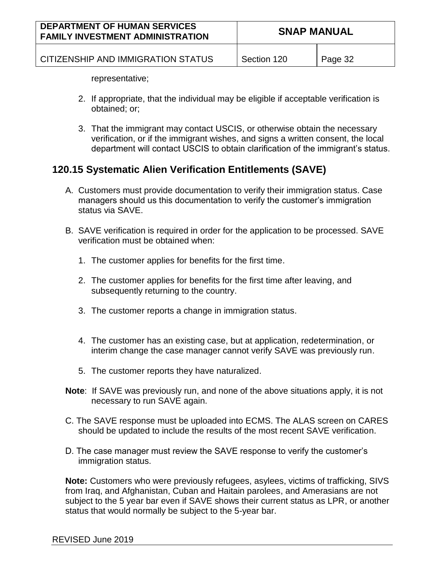| <b>DEPARTMENT OF HUMAN SERVICES</b><br><b>FAMILY INVESTMENT ADMINISTRATION</b> | <b>SNAP MANUAL</b> |         |
|--------------------------------------------------------------------------------|--------------------|---------|
| CITIZENSHIP AND IMMIGRATION STATUS                                             | Section 120        | Page 32 |

representative;

- 2. If appropriate, that the individual may be eligible if acceptable verification is obtained; or;
- 3. That the immigrant may contact USCIS, or otherwise obtain the necessary verification, or if the immigrant wishes, and signs a written consent, the local department will contact USCIS to obtain clarification of the immigrant's status.

## **120.15 Systematic Alien Verification Entitlements (SAVE)**

- A. Customers must provide documentation to verify their immigration status. Case managers should us this documentation to verify the customer's immigration status via SAVE.
- B. SAVE verification is required in order for the application to be processed. SAVE verification must be obtained when:
	- 1. The customer applies for benefits for the first time.
	- 2. The customer applies for benefits for the first time after leaving, and subsequently returning to the country.
	- 3. The customer reports a change in immigration status.
	- 4. The customer has an existing case, but at application, redetermination, or interim change the case manager cannot verify SAVE was previously run.
	- 5. The customer reports they have naturalized.
- **Note**: If SAVE was previously run, and none of the above situations apply, it is not necessary to run SAVE again.
- C. The SAVE response must be uploaded into ECMS. The ALAS screen on CARES should be updated to include the results of the most recent SAVE verification.
- D. The case manager must review the SAVE response to verify the customer's immigration status.

**Note:** Customers who were previously refugees, asylees, victims of trafficking, SIVS from Iraq, and Afghanistan, Cuban and Haitain parolees, and Amerasians are not subject to the 5 year bar even if SAVE shows their current status as LPR, or another status that would normally be subject to the 5-year bar.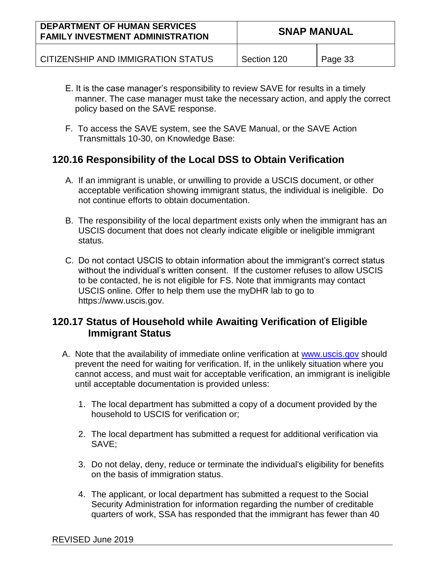| <b>DEPARTMENT OF HUMAN SERVICES</b><br><b>FAMILY INVESTMENT ADMINISTRATION</b> | <b>SNAP MANUAL</b> |         |
|--------------------------------------------------------------------------------|--------------------|---------|
| CITIZENSHIP AND IMMIGRATION STATUS                                             | Section 120        | Page 33 |

- E. It is the case manager's responsibility to review SAVE for results in a timely manner. The case manager must take the necessary action, and apply the correct policy based on the SAVE response.
- F. To access the SAVE system, see the SAVE Manual, or the SAVE Action Transmittals 10-30, on Knowledge Base:

## **120.16 Responsibility of the Local DSS to Obtain Verification**

- A. If an immigrant is unable, or unwilling to provide a USCIS document, or other acceptable verification showing immigrant status, the individual is ineligible. Do not continue efforts to obtain documentation.
- B. The responsibility of the local department exists only when the immigrant has an USCIS document that does not clearly indicate eligible or ineligible immigrant status.
- C. Do not contact USCIS to obtain information about the immigrant's correct status without the individual's written consent. If the customer refuses to allow USCIS to be contacted, he is not eligible for FS. Note that immigrants may contact USCIS online. Offer to help them use the myDHR lab to go to https://www.uscis.gov.

## **120.17 Status of Household while Awaiting Verification of Eligible Immigrant Status**

- A. Note that the availability of immediate online verification at [www.uscis.gov](http://www.uscis.gov/) should prevent the need for waiting for verification. If, in the unlikely situation where you cannot access, and must wait for acceptable verification, an immigrant is ineligible until acceptable documentation is provided unless:
	- 1. The local department has submitted a copy of a document provided by the household to USCIS for verification or;
	- 2. The local department has submitted a request for additional verification via SAVE;
	- 3. Do not delay, deny, reduce or terminate the individual's eligibility for benefits on the basis of immigration status.
	- 4. The applicant, or local department has submitted a request to the Social Security Administration for information regarding the number of creditable quarters of work, SSA has responded that the immigrant has fewer than 40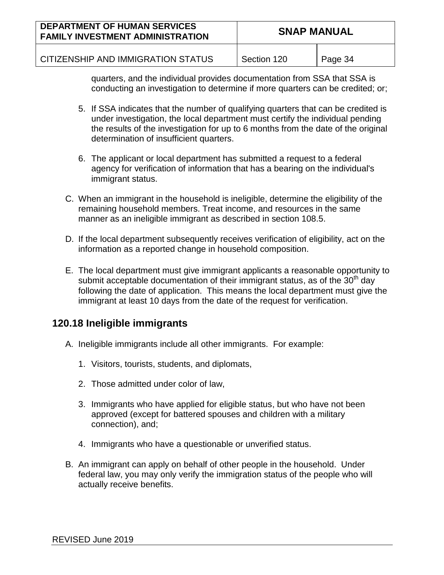| <b>DEPARTMENT OF HUMAN SERVICES</b><br><b>FAMILY INVESTMENT ADMINISTRATION</b> | <b>SNAP MANUAL</b> |         |
|--------------------------------------------------------------------------------|--------------------|---------|
| CITIZENSHIP AND IMMIGRATION STATUS                                             | Section 120        | Page 34 |

quarters, and the individual provides documentation from SSA that SSA is conducting an investigation to determine if more quarters can be credited; or;

- 5. If SSA indicates that the number of qualifying quarters that can be credited is under investigation, the local department must certify the individual pending the results of the investigation for up to 6 months from the date of the original determination of insufficient quarters.
- 6. The applicant or local department has submitted a request to a federal agency for verification of information that has a bearing on the individual's immigrant status.
- C. When an immigrant in the household is ineligible, determine the eligibility of the remaining household members. Treat income, and resources in the same manner as an ineligible immigrant as described in section 108.5.
- D. If the local department subsequently receives verification of eligibility, act on the information as a reported change in household composition.
- E. The local department must give immigrant applicants a reasonable opportunity to submit acceptable documentation of their immigrant status, as of the  $30<sup>th</sup>$  day following the date of application. This means the local department must give the immigrant at least 10 days from the date of the request for verification.

## **120.18 Ineligible immigrants**

- A. Ineligible immigrants include all other immigrants. For example:
	- 1. Visitors, tourists, students, and diplomats,
	- 2. Those admitted under color of law,
	- 3. Immigrants who have applied for eligible status, but who have not been approved (except for battered spouses and children with a military connection), and;
	- 4. Immigrants who have a questionable or unverified status.
- B. An immigrant can apply on behalf of other people in the household. Under federal law, you may only verify the immigration status of the people who will actually receive benefits.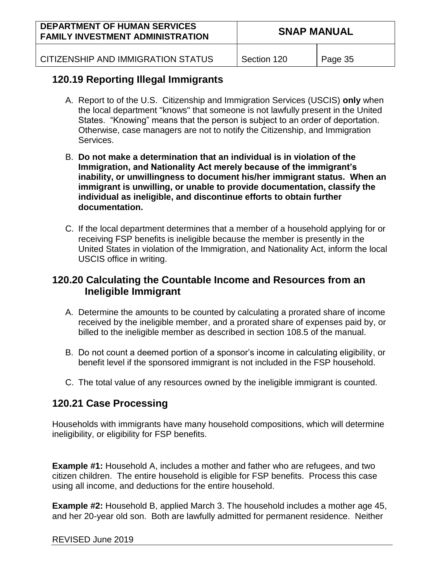| <b>DEPARTMENT OF HUMAN SERVICES</b><br><b>FAMILY INVESTMENT ADMINISTRATION</b> | <b>SNAP MANUAL</b> |         |
|--------------------------------------------------------------------------------|--------------------|---------|
| CITIZENSHIP AND IMMIGRATION STATUS                                             | Section 120        | Page 35 |

## **120.19 Reporting Illegal Immigrants**

- A. Report to of the U.S. Citizenship and Immigration Services (USCIS) **only** when the local department "knows" that someone is not lawfully present in the United States. "Knowing" means that the person is subject to an order of deportation. Otherwise, case managers are not to notify the Citizenship, and Immigration Services.
- B. **Do not make a determination that an individual is in violation of the Immigration, and Nationality Act merely because of the immigrant's inability, or unwillingness to document his/her immigrant status. When an immigrant is unwilling, or unable to provide documentation, classify the individual as ineligible, and discontinue efforts to obtain further documentation.**
- C. If the local department determines that a member of a household applying for or receiving FSP benefits is ineligible because the member is presently in the United States in violation of the Immigration, and Nationality Act, inform the local USCIS office in writing.

## **120.20 Calculating the Countable Income and Resources from an Ineligible Immigrant**

- A. Determine the amounts to be counted by calculating a prorated share of income received by the ineligible member, and a prorated share of expenses paid by, or billed to the ineligible member as described in section 108.5 of the manual.
- B. Do not count a deemed portion of a sponsor's income in calculating eligibility, or benefit level if the sponsored immigrant is not included in the FSP household.
- C. The total value of any resources owned by the ineligible immigrant is counted.

## **120.21 Case Processing**

Households with immigrants have many household compositions, which will determine ineligibility, or eligibility for FSP benefits.

**Example #1:** Household A, includes a mother and father who are refugees, and two citizen children. The entire household is eligible for FSP benefits. Process this case using all income, and deductions for the entire household.

**Example #2:** Household B, applied March 3. The household includes a mother age 45, and her 20-year old son. Both are lawfully admitted for permanent residence. Neither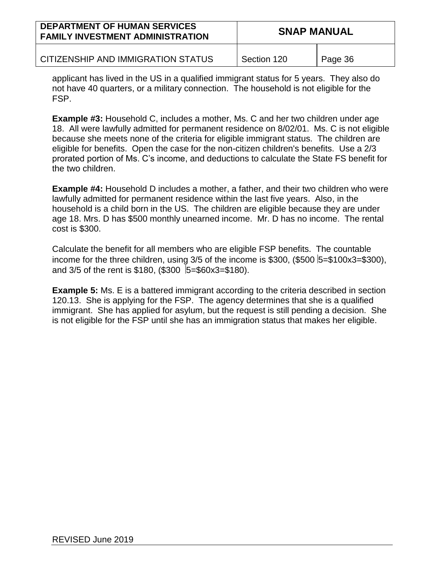| <b>DEPARTMENT OF HUMAN SERVICES</b><br><b>FAMILY INVESTMENT ADMINISTRATION</b> | <b>SNAP MANUAL</b> |         |
|--------------------------------------------------------------------------------|--------------------|---------|
| CITIZENSHIP AND IMMIGRATION STATUS                                             | Section 120        | Page 36 |

applicant has lived in the US in a qualified immigrant status for 5 years. They also do not have 40 quarters, or a military connection. The household is not eligible for the FSP.

**Example #3:** Household C, includes a mother, Ms. C and her two children under age 18. All were lawfully admitted for permanent residence on 8/02/01. Ms. C is not eligible because she meets none of the criteria for eligible immigrant status. The children are eligible for benefits. Open the case for the non-citizen children's benefits. Use a 2/3 prorated portion of Ms. C's income, and deductions to calculate the State FS benefit for the two children.

**Example #4:** Household D includes a mother, a father, and their two children who were lawfully admitted for permanent residence within the last five years. Also, in the household is a child born in the US. The children are eligible because they are under age 18. Mrs. D has \$500 monthly unearned income. Mr. D has no income. The rental cost is \$300.

Calculate the benefit for all members who are eligible FSP benefits. The countable income for the three children, using  $3/5$  of the income is \$300, (\$500  $5=100x3=300$ ), and  $3/5$  of the rent is \$180, (\$300  $\overline{5}$ =\$60x3=\$180).

**Example 5:** Ms. E is a battered immigrant according to the criteria described in section 120.13. She is applying for the FSP. The agency determines that she is a qualified immigrant. She has applied for asylum, but the request is still pending a decision. She is not eligible for the FSP until she has an immigration status that makes her eligible.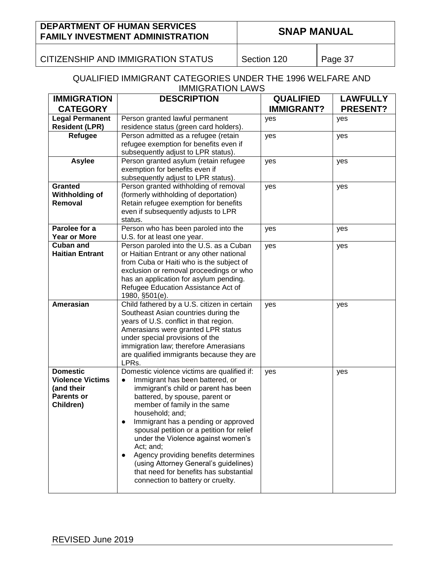CITIZENSHIP AND IMMIGRATION STATUS | Section 120 | Page 37

#### QUALIFIED IMMIGRANT CATEGORIES UNDER THE 1996 WELFARE AND IMMIGRATION LAWS

| <b>IMMIGRATION</b>      | <b>DESCRIPTION</b>                                                                  | <b>QUALIFIED</b>  | <b>LAWFULLY</b> |
|-------------------------|-------------------------------------------------------------------------------------|-------------------|-----------------|
| <b>CATEGORY</b>         |                                                                                     | <b>IMMIGRANT?</b> | <b>PRESENT?</b> |
| <b>Legal Permanent</b>  | Person granted lawful permanent                                                     | yes               | yes             |
| <b>Resident (LPR)</b>   | residence status (green card holders).                                              |                   |                 |
| Refugee                 | Person admitted as a refugee (retain                                                | yes               | yes             |
|                         | refugee exemption for benefits even if                                              |                   |                 |
| <b>Asylee</b>           | subsequently adjust to LPR status).<br>Person granted asylum (retain refugee        |                   |                 |
|                         | exemption for benefits even if                                                      | yes               | yes             |
|                         | subsequently adjust to LPR status).                                                 |                   |                 |
| <b>Granted</b>          | Person granted withholding of removal                                               | yes               | yes             |
| Withholding of          | (formerly withholding of deportation)                                               |                   |                 |
| Removal                 | Retain refugee exemption for benefits                                               |                   |                 |
|                         | even if subsequently adjusts to LPR                                                 |                   |                 |
|                         | status.                                                                             |                   |                 |
| Parolee for a           | Person who has been paroled into the                                                | yes               | yes             |
| <b>Year or More</b>     | U.S. for at least one year.                                                         |                   |                 |
| <b>Cuban and</b>        | Person paroled into the U.S. as a Cuban                                             | yes               | yes             |
| <b>Haitian Entrant</b>  | or Haitian Entrant or any other national                                            |                   |                 |
|                         | from Cuba or Haiti who is the subject of<br>exclusion or removal proceedings or who |                   |                 |
|                         | has an application for asylum pending.                                              |                   |                 |
|                         | Refugee Education Assistance Act of                                                 |                   |                 |
|                         | 1980, §501(e).                                                                      |                   |                 |
| Amerasian               | Child fathered by a U.S. citizen in certain                                         | yes               | yes             |
|                         | Southeast Asian countries during the                                                |                   |                 |
|                         | years of U.S. conflict in that region.                                              |                   |                 |
|                         | Amerasians were granted LPR status                                                  |                   |                 |
|                         | under special provisions of the                                                     |                   |                 |
|                         | immigration law; therefore Amerasians                                               |                   |                 |
|                         | are qualified immigrants because they are<br>LPRs.                                  |                   |                 |
| <b>Domestic</b>         | Domestic violence victims are qualified if:                                         | yes               | yes             |
| <b>Violence Victims</b> | Immigrant has been battered, or<br>$\bullet$                                        |                   |                 |
| (and their              | immigrant's child or parent has been                                                |                   |                 |
| <b>Parents or</b>       | battered, by spouse, parent or                                                      |                   |                 |
| Children)               | member of family in the same                                                        |                   |                 |
|                         | household; and;                                                                     |                   |                 |
|                         | Immigrant has a pending or approved                                                 |                   |                 |
|                         | spousal petition or a petition for relief                                           |                   |                 |
|                         | under the Violence against women's                                                  |                   |                 |
|                         | Act; and;<br>Agency providing benefits determines                                   |                   |                 |
|                         | $\bullet$<br>(using Attorney General's guidelines)                                  |                   |                 |
|                         | that need for benefits has substantial                                              |                   |                 |
|                         | connection to battery or cruelty.                                                   |                   |                 |
|                         |                                                                                     |                   |                 |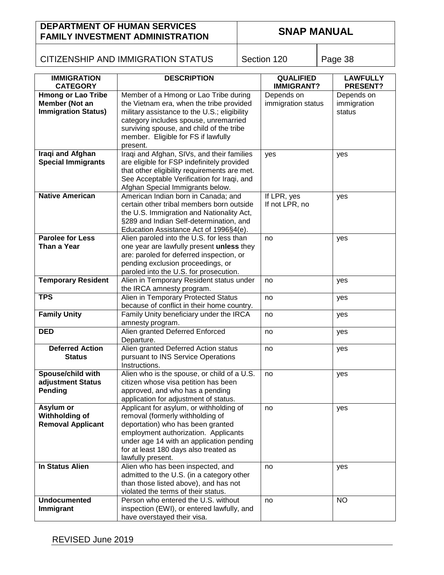## CITIZENSHIP AND IMMIGRATION STATUS | Section 120 | Page 38

| <b>IMMIGRATION</b>                                                        | <b>DESCRIPTION</b>                                                                                                                                                                                                                                                 | <b>QUALIFIED</b>                 | <b>LAWFULLY</b>                     |
|---------------------------------------------------------------------------|--------------------------------------------------------------------------------------------------------------------------------------------------------------------------------------------------------------------------------------------------------------------|----------------------------------|-------------------------------------|
| <b>CATEGORY</b>                                                           |                                                                                                                                                                                                                                                                    | <b>IMMIGRANT?</b>                | PRESENT?                            |
| <b>Hmong or Lao Tribe</b><br>Member (Not an<br><b>Immigration Status)</b> | Member of a Hmong or Lao Tribe during<br>the Vietnam era, when the tribe provided<br>military assistance to the U.S.; eligibility<br>category includes spouse, unremarried<br>surviving spouse, and child of the tribe<br>member. Eligible for FS if lawfully      | Depends on<br>immigration status | Depends on<br>immigration<br>status |
|                                                                           | present.                                                                                                                                                                                                                                                           |                                  |                                     |
| Iraqi and Afghan<br><b>Special Immigrants</b>                             | Iraqi and Afghan, SIVs, and their families<br>are eligible for FSP indefinitely provided<br>that other eligibility requirements are met.<br>See Acceptable Verification for Iraqi, and<br>Afghan Special Immigrants below.                                         | yes                              | yes                                 |
| <b>Native American</b>                                                    | American Indian born in Canada; and<br>certain other tribal members born outside<br>the U.S. Immigration and Nationality Act,<br>§289 and Indian Self-determination, and<br>Education Assistance Act of 1996§4(e).                                                 | If LPR, yes<br>If not LPR, no    | yes                                 |
| <b>Parolee for Less</b><br>Than a Year                                    | Alien paroled into the U.S. for less than<br>one year are lawfully present unless they<br>are: paroled for deferred inspection, or<br>pending exclusion proceedings, or                                                                                            | no                               | yes                                 |
|                                                                           | paroled into the U.S. for prosecution.                                                                                                                                                                                                                             |                                  |                                     |
| <b>Temporary Resident</b>                                                 | Alien in Temporary Resident status under<br>the IRCA amnesty program.                                                                                                                                                                                              | no                               | yes                                 |
| <b>TPS</b>                                                                | Alien in Temporary Protected Status<br>because of conflict in their home country.                                                                                                                                                                                  | no                               | yes                                 |
| <b>Family Unity</b>                                                       | Family Unity beneficiary under the IRCA<br>amnesty program.                                                                                                                                                                                                        | no                               | yes                                 |
| <b>DED</b>                                                                | Alien granted Deferred Enforced<br>Departure.                                                                                                                                                                                                                      | no                               | yes                                 |
| <b>Deferred Action</b><br><b>Status</b>                                   | Alien granted Deferred Action status<br>pursuant to INS Service Operations                                                                                                                                                                                         | no                               | yes                                 |
|                                                                           | Instructions.                                                                                                                                                                                                                                                      |                                  |                                     |
| Spouse/child with<br>adjustment Status<br>Pending                         | Alien who is the spouse, or child of a U.S.<br>citizen whose visa petition has been<br>approved, and who has a pending<br>application for adjustment of status.                                                                                                    | no                               | yes                                 |
| Asylum or<br>Withholding of<br><b>Removal Applicant</b>                   | Applicant for asylum, or withholding of<br>removal (formerly withholding of<br>deportation) who has been granted<br>employment authorization. Applicants<br>under age 14 with an application pending<br>for at least 180 days also treated as<br>lawfully present. | no                               | yes                                 |
| <b>In Status Alien</b>                                                    | Alien who has been inspected, and<br>admitted to the U.S. (in a category other<br>than those listed above), and has not<br>violated the terms of their status.                                                                                                     | no                               | yes                                 |
| <b>Undocumented</b>                                                       | Person who entered the U.S. without                                                                                                                                                                                                                                | no                               | <b>NO</b>                           |
| Immigrant                                                                 | inspection (EWI), or entered lawfully, and<br>have overstayed their visa.                                                                                                                                                                                          |                                  |                                     |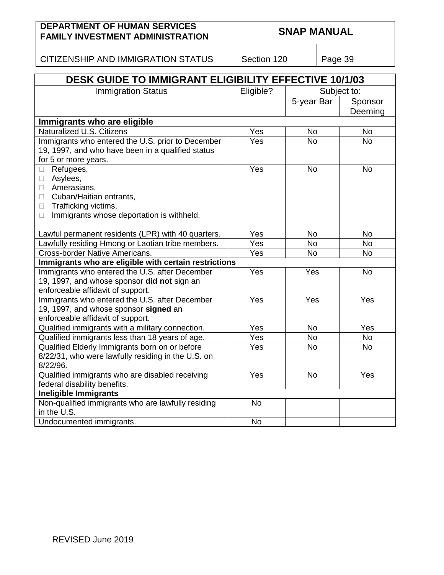CITIZENSHIP AND IMMIGRATION STATUS | Section 120 | Page 39

| DESK GUIDE TO IMMIGRANT ELIGIBILITY EFFECTIVE 10/1/03 |           |             |           |  |  |
|-------------------------------------------------------|-----------|-------------|-----------|--|--|
| <b>Immigration Status</b>                             | Eligible? | Subject to: |           |  |  |
|                                                       |           | 5-year Bar  | Sponsor   |  |  |
|                                                       |           |             | Deeming   |  |  |
| Immigrants who are eligible                           |           |             |           |  |  |
| Naturalized U.S. Citizens                             | Yes       | No          | No        |  |  |
| Immigrants who entered the U.S. prior to December     | Yes       | <b>No</b>   | <b>No</b> |  |  |
| 19, 1997, and who have been in a qualified status     |           |             |           |  |  |
| for 5 or more years.                                  |           |             |           |  |  |
| Refugees,<br>$\Box$                                   | Yes       | <b>No</b>   | <b>No</b> |  |  |
| Asylees,<br>$\Box$                                    |           |             |           |  |  |
| Amerasians,<br>$\Box$                                 |           |             |           |  |  |
| Cuban/Haitian entrants,<br>$\Box$                     |           |             |           |  |  |
| Trafficking victims,<br>$\Box$                        |           |             |           |  |  |
| Immigrants whose deportation is withheld.<br>$\Box$   |           |             |           |  |  |
| Lawful permanent residents (LPR) with 40 quarters.    | Yes       | <b>No</b>   | <b>No</b> |  |  |
| Lawfully residing Hmong or Laotian tribe members.     | Yes       | <b>No</b>   | <b>No</b> |  |  |
| <b>Cross-border Native Americans.</b>                 | Yes       | <b>No</b>   | <b>No</b> |  |  |
| Immigrants who are eligible with certain restrictions |           |             |           |  |  |
| Immigrants who entered the U.S. after December        | Yes       | Yes         | <b>No</b> |  |  |
| 19, 1997, and whose sponsor did not sign an           |           |             |           |  |  |
| enforceable affidavit of support.                     |           |             |           |  |  |
| Immigrants who entered the U.S. after December        | Yes       | Yes         | Yes       |  |  |
| 19, 1997, and whose sponsor signed an                 |           |             |           |  |  |
| enforceable affidavit of support.                     |           |             |           |  |  |
| Qualified immigrants with a military connection.      | Yes       | <b>No</b>   | Yes       |  |  |
| Qualified immigrants less than 18 years of age.       | Yes       | <b>No</b>   | No        |  |  |
| Qualified Elderly Immigrants born on or before        | Yes       | <b>No</b>   | <b>No</b> |  |  |
| 8/22/31, who were lawfully residing in the U.S. on    |           |             |           |  |  |
| 8/22/96.                                              |           |             |           |  |  |
| Qualified immigrants who are disabled receiving       | Yes       | <b>No</b>   | Yes       |  |  |
| federal disability benefits.                          |           |             |           |  |  |
| <b>Ineligible Immigrants</b>                          |           |             |           |  |  |
| Non-qualified immigrants who are lawfully residing    | <b>No</b> |             |           |  |  |
| in the U.S.                                           |           |             |           |  |  |
| Undocumented immigrants.                              | <b>No</b> |             |           |  |  |